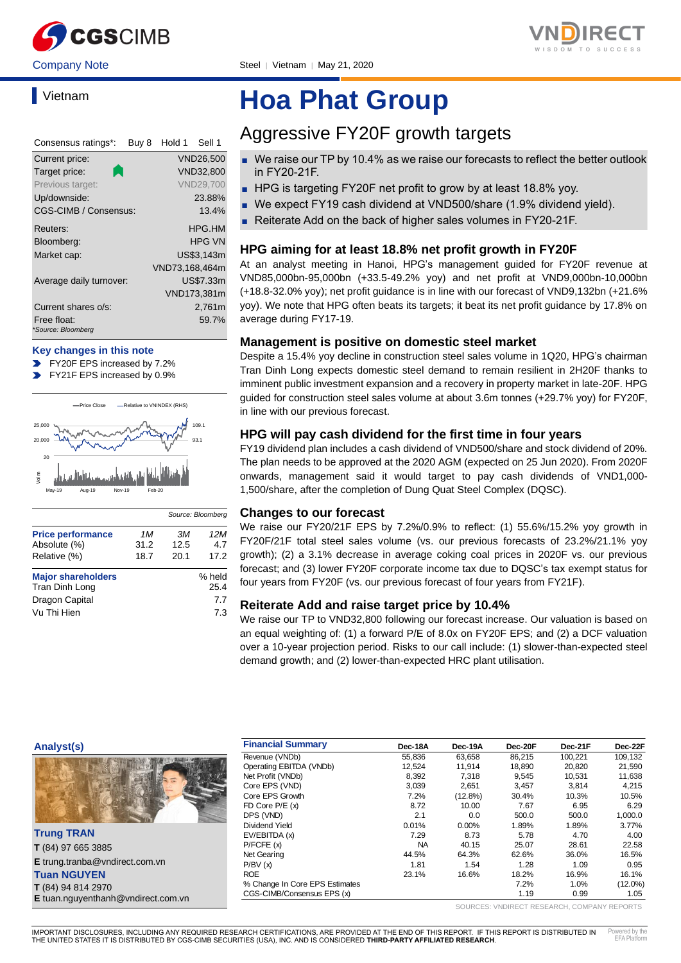

### **Vietnam**

| Consensus ratings*:               | Buy 8 | Hold 1         | Sell 1           |
|-----------------------------------|-------|----------------|------------------|
| Current price:                    |       |                | <b>VND26,500</b> |
| Target price:                     |       |                | VND32,800        |
| Previous target:                  |       |                | <b>VND29,700</b> |
| Up/downside:                      |       |                | 23.88%           |
| CGS-CIMB / Consensus:             |       |                | 13.4%            |
| Reuters:                          |       |                | HPG.HM           |
| Bloomberg:                        |       |                | <b>HPG VN</b>    |
| Market cap:                       |       |                | US\$3.143m       |
|                                   |       | VND73,168,464m |                  |
| Average daily turnover:           |       |                | US\$7.33m        |
|                                   |       |                | VND173,381m      |
| Current shares o/s:               |       |                | 2,761m           |
| Free float:<br>*Source: Bloomberg |       |                | 59.7%            |

#### **Key changes in this note**

- FY20F EPS increased by 7.2%
- FY21F EPS increased by 0.9%



|                                             |             | Source: Bloomberg |                |
|---------------------------------------------|-------------|-------------------|----------------|
| <b>Price performance</b><br>Absolute (%)    | 1 M<br>31.2 | ЗМ<br>12.5        | 12M<br>4.7     |
| Relative (%)                                | 18.7        | 20.1              | 17.2           |
| <b>Major shareholders</b><br>Tran Dinh Long |             |                   | % held<br>25.4 |
| Dragon Capital<br>Vu Thi Hien               |             |                   | 7.7<br>7.3     |

# **Hoa Phat Group**

### Aggressive FY20F growth targets

- We raise our TP by 10.4% as we raise our forecasts to reflect the better outlook in FY20-21F.
- HPG is targeting FY20F net profit to grow by at least 18.8% yoy.
- We expect FY19 cash dividend at VND500/share (1.9% dividend yield).
- Reiterate Add on the back of higher sales volumes in FY20-21F.

#### **HPG aiming for at least 18.8% net profit growth in FY20F**

At an analyst meeting in Hanoi, HPG's management guided for FY20F revenue at VND85,000bn-95,000bn (+33.5-49.2% yoy) and net profit at VND9,000bn-10,000bn (+18.8-32.0% yoy); net profit guidance is in line with our forecast of VND9,132bn (+21.6% yoy). We note that HPG often beats its targets; it beat its net profit guidance by 17.8% on average during FY17-19.

#### **Management is positive on domestic steel market**

Despite a 15.4% yoy decline in construction steel sales volume in 1Q20, HPG's chairman Tran Dinh Long expects domestic steel demand to remain resilient in 2H20F thanks to imminent public investment expansion and a recovery in property market in late-20F. HPG guided for construction steel sales volume at about 3.6m tonnes (+29.7% yoy) for FY20F, in line with our previous forecast.

#### **HPG will pay cash dividend for the first time in four years**

FY19 dividend plan includes a cash dividend of VND500/share and stock dividend of 20%. The plan needs to be approved at the 2020 AGM (expected on 25 Jun 2020). From 2020F onwards, management said it would target to pay cash dividends of VND1,000- 1,500/share, after the completion of Dung Quat Steel Complex (DQSC).

#### **Changes to our forecast**

We raise our FY20/21F EPS by 7.2%/0.9% to reflect: (1) 55.6%/15.2% yoy growth in FY20F/21F total steel sales volume (vs. our previous forecasts of 23.2%/21.1% yoy growth); (2) a 3.1% decrease in average coking coal prices in 2020F vs. our previous forecast; and (3) lower FY20F corporate income tax due to DQSC's tax exempt status for four years from FY20F (vs. our previous forecast of four years from FY21F).

#### **Reiterate Add and raise target price by 10.4%**

We raise our TP to VND32,800 following our forecast increase. Our valuation is based on an equal weighting of: (1) a forward P/E of 8.0x on FY20F EPS; and (2) a DCF valuation over a 10-year projection period. Risks to our call include: (1) slower-than-expected steel demand growth; and (2) lower-than-expected HRC plant utilisation.

#### **Analyst(s)**



| <b>Trung TRAN</b>                         |
|-------------------------------------------|
| T (84) 97 665 3885                        |
| <b>E</b> trung.tranba@vndirect.com.vn     |
| <b>Tuan NGUYEN</b>                        |
| T (84) 94 814 2970                        |
| <b>E</b> tuan.nguyenthanh@vndirect.com.vn |

| <b>Financial Summary</b>       | Dec-18A   | Dec-19A    | Dec-20F | Dec-21F | Dec-22F    |
|--------------------------------|-----------|------------|---------|---------|------------|
| Revenue (VNDb)                 | 55.836    | 63.658     | 86.215  | 100.221 | 109.132    |
| Operating EBITDA (VNDb)        | 12,524    | 11,914     | 18,890  | 20,820  | 21,590     |
| Net Profit (VNDb)              | 8,392     | 7,318      | 9,545   | 10.531  | 11,638     |
| Core EPS (VND)                 | 3.039     | 2.651      | 3.457   | 3.814   | 4.215      |
| Core EPS Growth                | 7.2%      | $(12.8\%)$ | 30.4%   | 10.3%   | 10.5%      |
| FD Core $P/E(x)$               | 8.72      | 10.00      | 7.67    | 6.95    | 6.29       |
| DPS (VND)                      | 2.1       | 0.0        | 500.0   | 500.0   | 1,000.0    |
| Dividend Yield                 | 0.01%     | $0.00\%$   | 1.89%   | 1.89%   | 3.77%      |
| EV/EBITDA (x)                  | 7.29      | 8.73       | 5.78    | 4.70    | 4.00       |
| P/FCFE(x)                      | <b>NA</b> | 40.15      | 25.07   | 28.61   | 22.58      |
| Net Gearing                    | 44.5%     | 64.3%      | 62.6%   | 36.0%   | 16.5%      |
| P/BV(x)                        | 1.81      | 1.54       | 1.28    | 1.09    | 0.95       |
| <b>ROE</b>                     | 23.1%     | 16.6%      | 18.2%   | 16.9%   | 16.1%      |
| % Change In Core EPS Estimates |           |            | 7.2%    | 1.0%    | $(12.0\%)$ |
| CGS-CIMB/Consensus EPS (x)     |           |            | 1.19    | 0.99    | 1.05       |

SOURCES: VNDIRECT RESEARCH, COMPANY REPORTS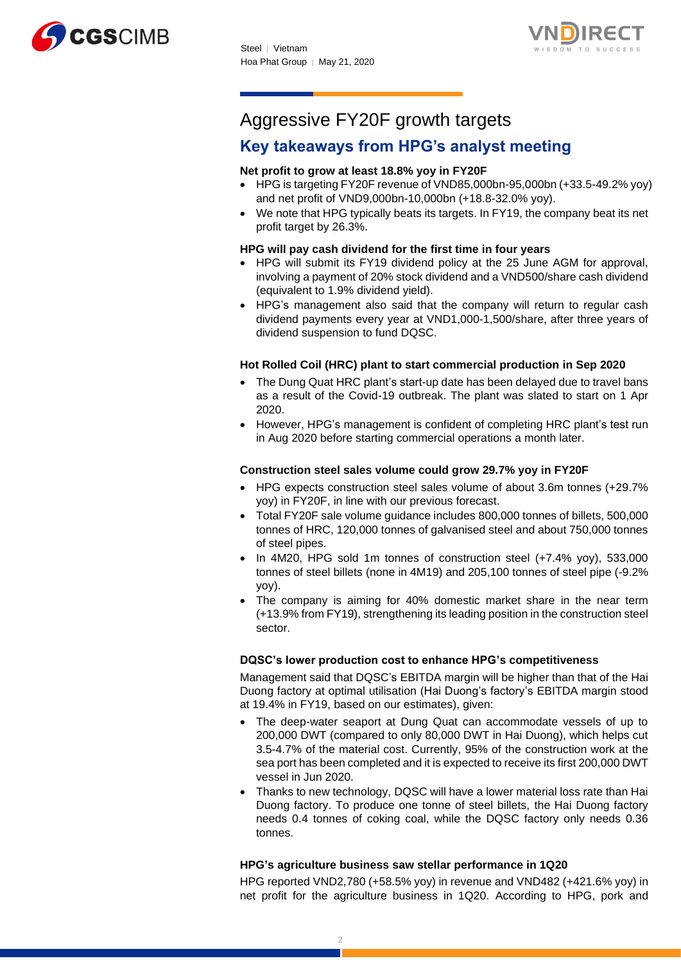



## Aggressive FY20F growth targets

### **Key takeaways from HPG's analyst meeting**

#### **Net profit to grow at least 18.8% yoy in FY20F**

- HPG is targeting FY20F revenue of VND85,000bn-95,000bn (+33.5-49.2% yoy) and net profit of VND9,000bn-10,000bn (+18.8-32.0% yoy).
- We note that HPG typically beats its targets. In FY19, the company beat its net profit target by 26.3%.

#### **HPG will pay cash dividend for the first time in four years**

- HPG will submit its FY19 dividend policy at the 25 June AGM for approval, involving a payment of 20% stock dividend and a VND500/share cash dividend (equivalent to 1.9% dividend yield).
- HPG's management also said that the company will return to regular cash dividend payments every year at VND1,000-1,500/share, after three years of dividend suspension to fund DQSC.

#### **Hot Rolled Coil (HRC) plant to start commercial production in Sep 2020**

- The Dung Quat HRC plant's start-up date has been delayed due to travel bans as a result of the Covid-19 outbreak. The plant was slated to start on 1 Apr 2020.
- However, HPG's management is confident of completing HRC plant's test run in Aug 2020 before starting commercial operations a month later.

#### **Construction steel sales volume could grow 29.7% yoy in FY20F**

- HPG expects construction steel sales volume of about 3.6m tonnes (+29.7% yoy) in FY20F, in line with our previous forecast.
- Total FY20F sale volume guidance includes 800,000 tonnes of billets, 500,000 tonnes of HRC, 120,000 tonnes of galvanised steel and about 750,000 tonnes of steel pipes.
- In 4M20, HPG sold 1m tonnes of construction steel (+7.4% yoy), 533,000 tonnes of steel billets (none in 4M19) and 205,100 tonnes of steel pipe (-9.2% yoy).
- The company is aiming for 40% domestic market share in the near term (+13.9% from FY19), strengthening its leading position in the construction steel sector.

#### **DQSC's lower production cost to enhance HPG's competitiveness**

Management said that DQSC's EBITDA margin will be higher than that of the Hai Duong factory at optimal utilisation (Hai Duong's factory's EBITDA margin stood at 19.4% in FY19, based on our estimates), given:

- The deep-water seaport at Dung Quat can accommodate vessels of up to 200,000 DWT (compared to only 80,000 DWT in Hai Duong), which helps cut 3.5-4.7% of the material cost. Currently, 95% of the construction work at the sea port has been completed and it is expected to receive its first 200,000 DWT vessel in Jun 2020.
- Thanks to new technology, DQSC will have a lower material loss rate than Hai Duong factory. To produce one tonne of steel billets, the Hai Duong factory needs 0.4 tonnes of coking coal, while the DQSC factory only needs 0.36 tonnes.

#### **HPG's agriculture business saw stellar performance in 1Q20**

HPG reported VND2,780 (+58.5% yoy) in revenue and VND482 (+421.6% yoy) in net profit for the agriculture business in 1Q20. According to HPG, pork and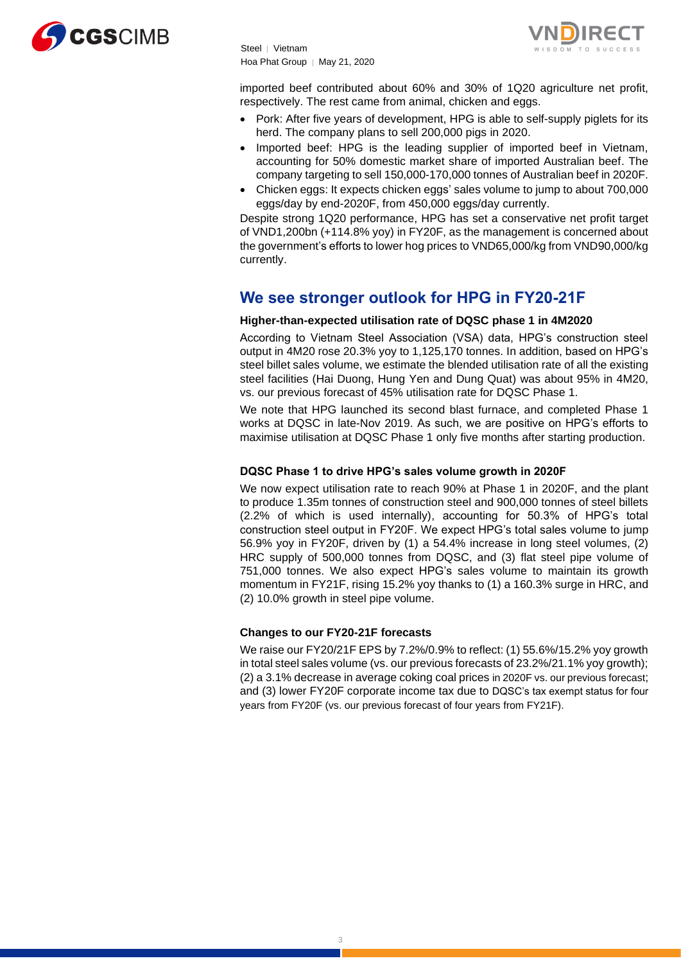



imported beef contributed about 60% and 30% of 1Q20 agriculture net profit, respectively. The rest came from animal, chicken and eggs.

- Pork: After five years of development, HPG is able to self-supply piglets for its herd. The company plans to sell 200,000 pigs in 2020.
- Imported beef: HPG is the leading supplier of imported beef in Vietnam, accounting for 50% domestic market share of imported Australian beef. The company targeting to sell 150,000-170,000 tonnes of Australian beef in 2020F.
- Chicken eggs: It expects chicken eggs' sales volume to jump to about 700,000 eggs/day by end-2020F, from 450,000 eggs/day currently.

Despite strong 1Q20 performance, HPG has set a conservative net profit target of VND1,200bn (+114.8% yoy) in FY20F, as the management is concerned about the government's efforts to lower hog prices to VND65,000/kg from VND90,000/kg currently.

### **We see stronger outlook for HPG in FY20-21F**

#### **Higher-than-expected utilisation rate of DQSC phase 1 in 4M2020**

According to Vietnam Steel Association (VSA) data, HPG's construction steel output in 4M20 rose 20.3% yoy to 1,125,170 tonnes. In addition, based on HPG's steel billet sales volume, we estimate the blended utilisation rate of all the existing steel facilities (Hai Duong, Hung Yen and Dung Quat) was about 95% in 4M20, vs. our previous forecast of 45% utilisation rate for DQSC Phase 1.

We note that HPG launched its second blast furnace, and completed Phase 1 works at DQSC in late-Nov 2019. As such, we are positive on HPG's efforts to maximise utilisation at DQSC Phase 1 only five months after starting production.

#### **DQSC Phase 1 to drive HPG's sales volume growth in 2020F**

We now expect utilisation rate to reach 90% at Phase 1 in 2020F, and the plant to produce 1.35m tonnes of construction steel and 900,000 tonnes of steel billets (2.2% of which is used internally), accounting for 50.3% of HPG's total construction steel output in FY20F. We expect HPG's total sales volume to jump 56.9% yoy in FY20F, driven by (1) a 54.4% increase in long steel volumes, (2) HRC supply of 500,000 tonnes from DQSC, and (3) flat steel pipe volume of 751,000 tonnes. We also expect HPG's sales volume to maintain its growth momentum in FY21F, rising 15.2% yoy thanks to (1) a 160.3% surge in HRC, and (2) 10.0% growth in steel pipe volume.

#### **Changes to our FY20-21F forecasts**

We raise our FY20/21F EPS by 7.2%/0.9% to reflect: (1) 55.6%/15.2% yoy growth in total steel sales volume (vs. our previous forecasts of 23.2%/21.1% yoy growth); (2) a 3.1% decrease in average coking coal prices in 2020F vs. our previous forecast; and (3) lower FY20F corporate income tax due to DQSC's tax exempt status for four years from FY20F (vs. our previous forecast of four years from FY21F).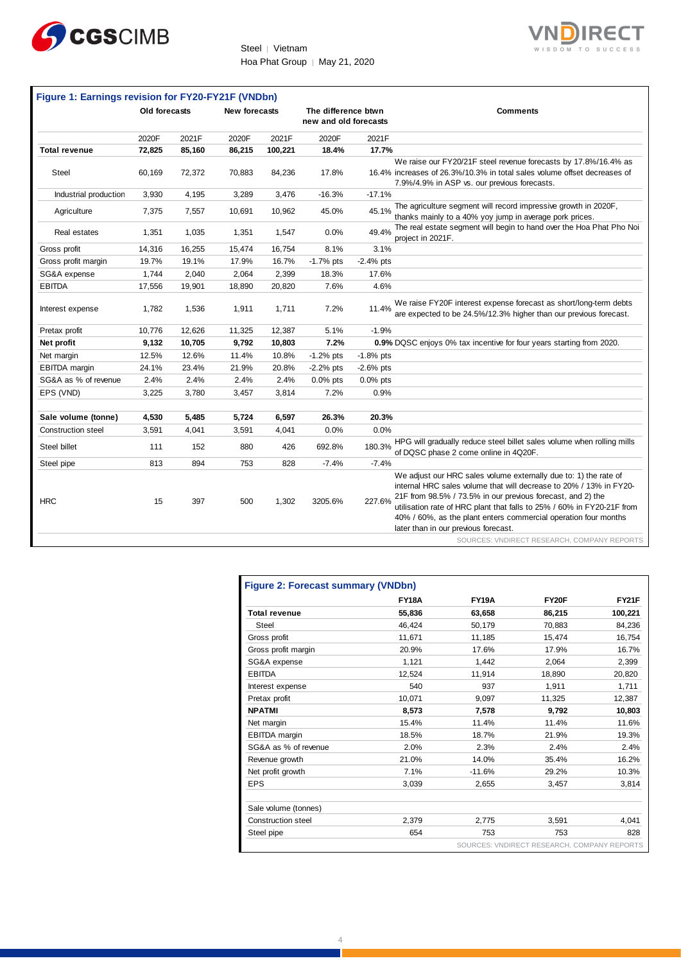



|                           | Old forecasts |        | <b>New forecasts</b> |         | The difference btwn<br>new and old forecasts |             | <b>Comments</b>                                                                                                                                                                                                                                                                                                                                                                            |
|---------------------------|---------------|--------|----------------------|---------|----------------------------------------------|-------------|--------------------------------------------------------------------------------------------------------------------------------------------------------------------------------------------------------------------------------------------------------------------------------------------------------------------------------------------------------------------------------------------|
|                           | 2020F         | 2021F  | 2020F                | 2021F   | 2020F                                        | 2021F       |                                                                                                                                                                                                                                                                                                                                                                                            |
| <b>Total revenue</b>      | 72,825        | 85,160 | 86,215               | 100,221 | 18.4%                                        | 17.7%       |                                                                                                                                                                                                                                                                                                                                                                                            |
| Steel                     | 60,169        | 72,372 | 70,883               | 84,236  | 17.8%                                        |             | We raise our FY20/21F steel revenue forecasts by 17.8%/16.4% as<br>16.4% increases of 26.3%/10.3% in total sales volume offset decreases of<br>7.9%/4.9% in ASP vs. our previous forecasts.                                                                                                                                                                                                |
| Industrial production     | 3,930         | 4,195  | 3,289                | 3,476   | $-16.3%$                                     | $-17.1%$    |                                                                                                                                                                                                                                                                                                                                                                                            |
| Agriculture               | 7,375         | 7,557  | 10,691               | 10,962  | 45.0%                                        | 45.1%       | The agriculture segment will record impressive growth in 2020F,<br>thanks mainly to a 40% yoy jump in average pork prices.                                                                                                                                                                                                                                                                 |
| Real estates              | 1,351         | 1,035  | 1,351                | 1,547   | 0.0%                                         | 49.4%       | The real estate segment will begin to hand over the Hoa Phat Pho Noi<br>project in 2021F.                                                                                                                                                                                                                                                                                                  |
| Gross profit              | 14,316        | 16,255 | 15,474               | 16,754  | 8.1%                                         | 3.1%        |                                                                                                                                                                                                                                                                                                                                                                                            |
| Gross profit margin       | 19.7%         | 19.1%  | 17.9%                | 16.7%   | $-1.7%$ pts                                  | $-2.4%$ pts |                                                                                                                                                                                                                                                                                                                                                                                            |
| SG&A expense              | 1,744         | 2,040  | 2,064                | 2,399   | 18.3%                                        | 17.6%       |                                                                                                                                                                                                                                                                                                                                                                                            |
| <b>EBITDA</b>             | 17,556        | 19,901 | 18,890               | 20,820  | 7.6%                                         | 4.6%        |                                                                                                                                                                                                                                                                                                                                                                                            |
| Interest expense          | 1,782         | 1,536  | 1,911                | 1,711   | 7.2%                                         | 11.4%       | We raise FY20F interest expense forecast as short/long-term debts<br>are expected to be 24.5%/12.3% higher than our previous forecast.                                                                                                                                                                                                                                                     |
| Pretax profit             | 10,776        | 12,626 | 11,325               | 12,387  | 5.1%                                         | $-1.9%$     |                                                                                                                                                                                                                                                                                                                                                                                            |
| Net profit                | 9,132         | 10,705 | 9,792                | 10,803  | 7.2%                                         |             | 0.9% DQSC enjoys 0% tax incentive for four years starting from 2020.                                                                                                                                                                                                                                                                                                                       |
| Net margin                | 12.5%         | 12.6%  | 11.4%                | 10.8%   | $-1.2%$ pts                                  | $-1.8%$ pts |                                                                                                                                                                                                                                                                                                                                                                                            |
| EBITDA margin             | 24.1%         | 23.4%  | 21.9%                | 20.8%   | $-2.2%$ pts                                  | $-2.6%$ pts |                                                                                                                                                                                                                                                                                                                                                                                            |
| SG&A as % of revenue      | 2.4%          | 2.4%   | 2.4%                 | 2.4%    | $0.0\%$ pts                                  | $0.0\%$ pts |                                                                                                                                                                                                                                                                                                                                                                                            |
| EPS (VND)                 | 3,225         | 3,780  | 3,457                | 3,814   | 7.2%                                         | 0.9%        |                                                                                                                                                                                                                                                                                                                                                                                            |
|                           |               |        |                      |         |                                              |             |                                                                                                                                                                                                                                                                                                                                                                                            |
| Sale volume (tonne)       | 4,530         | 5,485  | 5,724                | 6,597   | 26.3%                                        | 20.3%       |                                                                                                                                                                                                                                                                                                                                                                                            |
| <b>Construction steel</b> | 3,591         | 4.041  | 3,591                | 4,041   | 0.0%                                         | 0.0%        |                                                                                                                                                                                                                                                                                                                                                                                            |
| Steel billet              | 111           | 152    | 880                  | 426     | 692.8%                                       | 180.3%      | HPG will gradually reduce steel billet sales volume when rolling mills<br>of DQSC phase 2 come online in 4Q20F.                                                                                                                                                                                                                                                                            |
| Steel pipe                | 813           | 894    | 753                  | 828     | $-7.4%$                                      | $-7.4%$     |                                                                                                                                                                                                                                                                                                                                                                                            |
| <b>HRC</b>                | 15            | 397    | 500                  | 1,302   | 3205.6%                                      | 227.6%      | We adjust our HRC sales volume externally due to: 1) the rate of<br>internal HRC sales volume that will decrease to 20% / 13% in FY20-<br>21F from 98.5% / 73.5% in our previous forecast, and 2) the<br>utilisation rate of HRC plant that falls to 25% / 60% in FY20-21F from<br>40% / 60%, as the plant enters commercial operation four months<br>later than in our previous forecast. |
|                           |               |        |                      |         |                                              |             | SOURCES: VNDIRECT RESEARCH, COMPANY REPORTS                                                                                                                                                                                                                                                                                                                                                |
|                           |               |        |                      |         | <b>Figure 2: Forecast summary (VNDbn)</b>    |             | FY20F<br>FY21F<br><b>FY18A</b><br><b>FY19A</b>                                                                                                                                                                                                                                                                                                                                             |

| <b>Figure 2: Forecast summary (VNDbn)</b> |              |              |                                             |              |  |  |  |
|-------------------------------------------|--------------|--------------|---------------------------------------------|--------------|--|--|--|
|                                           | <b>FY18A</b> | <b>FY19A</b> | FY20F                                       | <b>FY21F</b> |  |  |  |
| <b>Total revenue</b>                      | 55.836       | 63,658       | 86,215                                      | 100,221      |  |  |  |
| Steel                                     | 46.424       | 50,179       | 70.883                                      | 84,236       |  |  |  |
| Gross profit                              | 11.671       | 11.185       | 15.474                                      | 16,754       |  |  |  |
| Gross profit margin                       | 20.9%        | 17.6%        | 17.9%                                       | 16.7%        |  |  |  |
| SG&A expense                              | 1,121        | 1,442        | 2,064                                       | 2,399        |  |  |  |
| <b>EBITDA</b>                             | 12,524       | 11,914       | 18,890                                      | 20,820       |  |  |  |
| Interest expense                          | 540          | 937          | 1.911                                       | 1,711        |  |  |  |
| Pretax profit                             | 10,071       | 9,097        | 11,325                                      | 12,387       |  |  |  |
| <b>NPATMI</b>                             | 8,573        | 7.578        | 9.792                                       | 10,803       |  |  |  |
| Net margin                                | 15.4%        | 11.4%        | 11.4%                                       | 11.6%        |  |  |  |
| EBITDA margin                             | 18.5%        | 18.7%        | 21.9%                                       | 19.3%        |  |  |  |
| SG&A as % of revenue                      | 2.0%         | 2.3%         | 2.4%                                        | 2.4%         |  |  |  |
| Revenue growth                            | 21.0%        | 14.0%        | 35.4%                                       | 16.2%        |  |  |  |
| Net profit growth                         | 7.1%         | $-11.6%$     | 29.2%                                       | 10.3%        |  |  |  |
| <b>EPS</b>                                | 3,039        | 2.655        | 3.457                                       | 3.814        |  |  |  |
| Sale volume (tonnes)                      |              |              |                                             |              |  |  |  |
| <b>Construction steel</b>                 | 2,379        | 2.775        | 3,591                                       | 4.041        |  |  |  |
| Steel pipe                                | 654          | 753          | 753                                         | 828          |  |  |  |
|                                           |              |              | SOURCES: VNDIRECT RESEARCH, COMPANY REPORTS |              |  |  |  |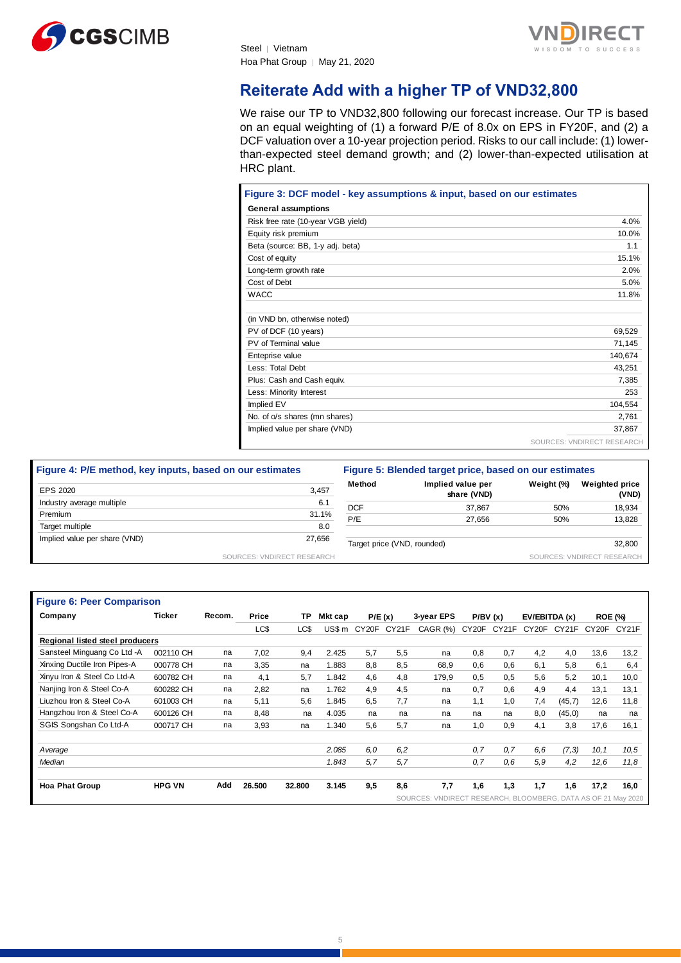



### **Reiterate Add with a higher TP of VND32,800**

We raise our TP to VND32,800 following our forecast increase. Our TP is based on an equal weighting of (1) a forward P/E of 8.0x on EPS in FY20F, and (2) a DCF valuation over a 10-year projection period. Risks to our call include: (1) lowerthan-expected steel demand growth; and (2) lower-than-expected utilisation at HRC plant.

| Figure 3: DCF model - key assumptions & input, based on our estimates |                            |
|-----------------------------------------------------------------------|----------------------------|
| <b>General assumptions</b>                                            |                            |
| Risk free rate (10-year VGB yield)                                    | 4.0%                       |
| Equity risk premium                                                   | 10.0%                      |
| Beta (source: BB, 1-y adj. beta)                                      | 1.1                        |
| Cost of equity                                                        | 15.1%                      |
| Long-term growth rate                                                 | 2.0%                       |
| Cost of Debt                                                          | 5.0%                       |
| <b>WACC</b>                                                           | 11.8%                      |
| (in VND bn, otherwise noted)                                          |                            |
| PV of DCF (10 years)                                                  | 69,529                     |
| PV of Terminal value                                                  | 71,145                     |
| Enteprise value                                                       | 140,674                    |
| Less: Total Debt                                                      | 43,251                     |
| Plus: Cash and Cash equiv.                                            | 7,385                      |
| Less: Minority Interest                                               | 253                        |
| Implied EV                                                            | 104,554                    |
| No. of o/s shares (mn shares)                                         | 2,761                      |
| Implied value per share (VND)                                         | 37,867                     |
|                                                                       | SOURCES: VNDIRECT RESEARCH |

| Figure 4: P/E method, key inputs, based on our estimates |                            | Figure 5: Blended target price, based on our estimates |                                  |            |                                |  |
|----------------------------------------------------------|----------------------------|--------------------------------------------------------|----------------------------------|------------|--------------------------------|--|
| EPS 2020                                                 | 3,457                      | Method                                                 | Implied value per<br>share (VND) | Weight (%) | <b>Weighted price</b><br>(VND) |  |
| Industry average multiple                                | 6.1                        | <b>DCF</b>                                             | 37.867                           | 50%        | 18,934                         |  |
| Premium                                                  | 31.1%                      | P/E                                                    | 27.656                           | 50%        | 13,828                         |  |
| Target multiple                                          | 8.0                        |                                                        |                                  |            |                                |  |
| Implied value per share (VND)                            | 27,656                     | Target price (VND, rounded)                            |                                  |            | 32,800                         |  |
|                                                          | SOURCES: VNDIRECT RESEARCH |                                                        |                                  |            | SOURCES: VNDIRECT RESEARCH     |  |

| <b>Figure 6: Peer Comparison</b> |               |        |        |        |         |                    |        |                             |       |           |                    |               |       |                        |
|----------------------------------|---------------|--------|--------|--------|---------|--------------------|--------|-----------------------------|-------|-----------|--------------------|---------------|-------|------------------------|
| Company                          | Ticker        | Recom. | Price  | ТP     | Mkt cap |                    | P/E(x) | 3-year EPS                  |       | P/BV(x)   |                    | EV/EBITDA (x) |       | <b>ROE (%)</b>         |
|                                  |               |        | LC\$   | LC\$   | US\$ m  | CY <sub>20</sub> F | CY21F  | $CAGR$ $(\%)$               | CY20F | CY21F     | CY <sub>20</sub> F | CY21F         | CY20F | CY <sub>21</sub> F     |
| Regional listed steel producers  |               |        |        |        |         |                    |        |                             |       |           |                    |               |       |                        |
| Sansteel Minguang Co Ltd -A      | 002110 CH     | na     | 7,02   | 9,4    | 2.425   | 5.7                | 5,5    | na                          | 0.8   | 0,7       | 4,2                | 4,0           | 13,6  | 13,2                   |
| Xinxing Ductile Iron Pipes-A     | 000778 CH     | na     | 3,35   | na     | 1.883   | 8.8                | 8.5    | 68,9                        | 0,6   | 0,6       | 6,1                | 5,8           | 6,1   | 6,4                    |
| Xinyu Iron & Steel Co Ltd-A      | 600782 CH     | na     | 4,1    | 5.7    | 1.842   | 4.6                | 4.8    | 179,9                       | 0,5   | 0,5       | 5,6                | 5,2           | 10,1  | 10,0                   |
| Nanjing Iron & Steel Co-A        | 600282 CH     | na     | 2,82   | na     | 1.762   | 4.9                | 4.5    | na                          | 0.7   | 0,6       | 4,9                | 4,4           | 13,1  | 13,1                   |
| Liuzhou Iron & Steel Co-A        | 601003 CH     | na     | 5,11   | 5,6    | 1.845   | 6.5                | 7.7    | na                          | 1,1   | 1,0       | 7,4                | (45,7)        | 12,6  | 11,8                   |
| Hangzhou Iron & Steel Co-A       | 600126 CH     | na     | 8,48   | na     | 4.035   | na                 | na     | na                          | na    | na        | 8,0                | (45, 0)       | na    | na                     |
| SGIS Songshan Co Ltd-A           | 000717 CH     | na     | 3,93   | na     | 1.340   | 5,6                | 5.7    | na                          | 1,0   | 0,9       | 4,1                | 3,8           | 17,6  | 16,1                   |
| Average                          |               |        |        |        | 2.085   | 6,0                | 6.2    |                             | 0.7   | 0.7       | 6,6                | (7,3)         | 10,1  | 10,5                   |
| Median                           |               |        |        |        | 1.843   | 5.7                | 5.7    |                             | 0.7   | 0.6       | 5.9                | 4,2           | 12,6  | 11,8                   |
| <b>Hoa Phat Group</b>            | <b>HPG VN</b> | Add    | 26.500 | 32.800 | 3.145   | 9,5                | 8.6    | 7,7                         | 1,6   | 1,3       | 1.7                | 1,6           | 17,2  | 16,0                   |
|                                  |               |        |        |        |         |                    |        | SOURCES:<br><b>VNDIRECT</b> |       | RESEARCH. | BLOOMBERG,         |               |       | DATA AS OF 21 May 2020 |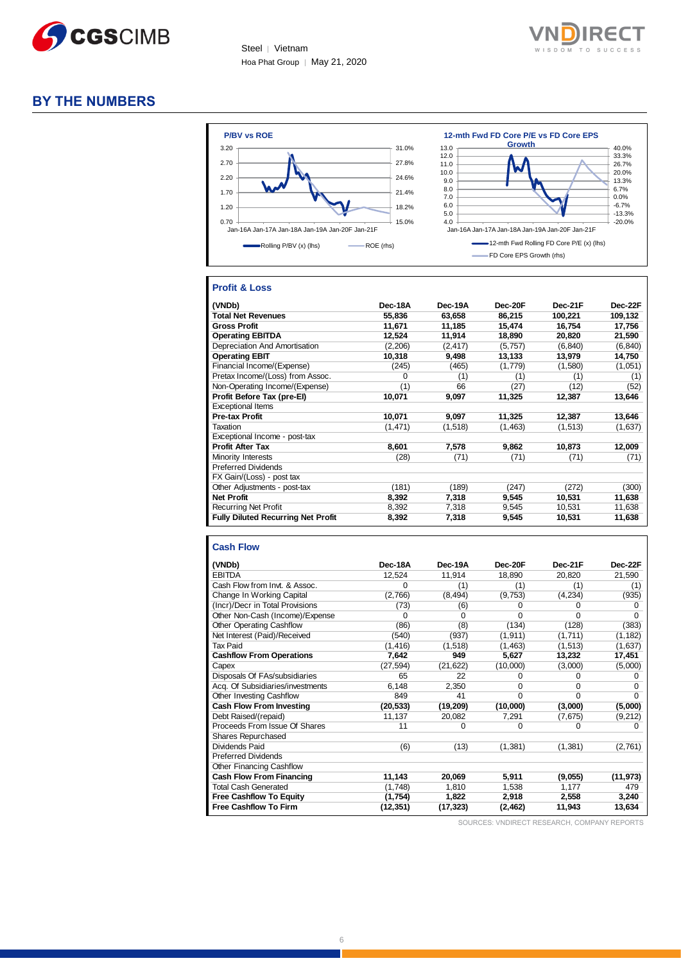



### **BY THE NUMBERS**



#### **Profit & Loss**

| (VNDb)                                    | Dec-18A  | Dec-19A  | Dec-20F | Dec-21F  | Dec-22F  |
|-------------------------------------------|----------|----------|---------|----------|----------|
| <b>Total Net Revenues</b>                 | 55,836   | 63,658   | 86,215  | 100,221  | 109,132  |
| <b>Gross Profit</b>                       | 11,671   | 11,185   | 15,474  | 16,754   | 17,756   |
| <b>Operating EBITDA</b>                   | 12,524   | 11,914   | 18,890  | 20,820   | 21,590   |
| Depreciation And Amortisation             | (2,206)  | (2, 417) | (5,757) | (6, 840) | (6, 840) |
| <b>Operating EBIT</b>                     | 10,318   | 9,498    | 13,133  | 13,979   | 14,750   |
| Financial Income/(Expense)                | (245)    | (465)    | (1,779) | (1,580)  | (1,051)  |
| Pretax Income/(Loss) from Assoc.          | 0        | (1)      | (1)     | (1)      | (1)      |
| Non-Operating Income/(Expense)            | (1)      | 66       | (27)    | (12)     | (52)     |
| Profit Before Tax (pre-El)                | 10,071   | 9,097    | 11,325  | 12,387   | 13,646   |
| <b>Exceptional Items</b>                  |          |          |         |          |          |
| <b>Pre-tax Profit</b>                     | 10,071   | 9,097    | 11,325  | 12,387   | 13,646   |
| Taxation                                  | (1, 471) | (1,518)  | (1,463) | (1,513)  | (1,637)  |
| Exceptional Income - post-tax             |          |          |         |          |          |
| <b>Profit After Tax</b>                   | 8,601    | 7,578    | 9.862   | 10,873   | 12,009   |
| Minority Interests                        | (28)     | (71)     | (71)    | (71)     | (71)     |
| <b>Preferred Dividends</b>                |          |          |         |          |          |
| FX Gain/(Loss) - post tax                 |          |          |         |          |          |
| Other Adjustments - post-tax              | (181)    | (189)    | (247)   | (272)    | (300)    |
| <b>Net Profit</b>                         | 8,392    | 7,318    | 9,545   | 10,531   | 11,638   |
| <b>Recurring Net Profit</b>               | 8,392    | 7.318    | 9,545   | 10,531   | 11,638   |
| <b>Fully Diluted Recurring Net Profit</b> | 8,392    | 7,318    | 9,545   | 10,531   | 11,638   |

#### **Cash Flow**

| (VNDb)                           | Dec-18A   | Dec-19A   | Dec-20F  | Dec-21F  | Dec-22F   |
|----------------------------------|-----------|-----------|----------|----------|-----------|
| <b>EBITDA</b>                    | 12,524    | 11,914    | 18,890   | 20,820   | 21,590    |
| Cash Flow from Invt. & Assoc.    | 0         | (1)       | (1)      | (1)      | (1)       |
| Change In Working Capital        | (2,766)   | (8, 494)  | (9,753)  | (4,234)  | (935)     |
| (Incr)/Decr in Total Provisions  | (73)      | (6)       | U        | O        |           |
| Other Non-Cash (Income)/Expense  | 0         | $\Omega$  | $\Omega$ | 0        | 0         |
| Other Operating Cashflow         | (86)      | (8)       | (134)    | (128)    | (383)     |
| Net Interest (Paid)/Received     | (540)     | (937)     | (1, 911) | (1,711)  | (1, 182)  |
| <b>Tax Paid</b>                  | (1, 416)  | (1,518)   | (1, 463) | (1, 513) | (1,637)   |
| <b>Cashflow From Operations</b>  | 7,642     | 949       | 5,627    | 13,232   | 17,451    |
| Capex                            | (27, 594) | (21, 622) | (10,000) | (3,000)  | (5,000)   |
| Disposals Of FAs/subsidiaries    | 65        | 22        | O        | 0        |           |
| Acq. Of Subsidiaries/investments | 6,148     | 2,350     | $\Omega$ | 0        | 0         |
| Other Investing Cashflow         | 849       | 41        | $\Omega$ | 0        | U         |
| <b>Cash Flow From Investing</b>  | (20, 533) | (19, 209) | (10,000) | (3,000)  | (5,000)   |
| Debt Raised/(repaid)             | 11,137    | 20,082    | 7,291    | (7,675)  | (9,212)   |
| Proceeds From Issue Of Shares    | 11        | 0         | 0        | 0        | O         |
| <b>Shares Repurchased</b>        |           |           |          |          |           |
| Dividends Paid                   | (6)       | (13)      | (1, 381) | (1,381)  | (2,761)   |
| <b>Preferred Dividends</b>       |           |           |          |          |           |
| Other Financing Cashflow         |           |           |          |          |           |
| <b>Cash Flow From Financing</b>  | 11,143    | 20,069    | 5,911    | (9,055)  | (11, 973) |
| <b>Total Cash Generated</b>      | (1,748)   | 1,810     | 1,538    | 1,177    | 479       |
| <b>Free Cashflow To Equity</b>   | (1,754)   | 1,822     | 2,918    | 2,558    | 3,240     |
| <b>Free Cashflow To Firm</b>     | (12, 351) | (17, 323) | (2, 462) | 11,943   | 13,634    |
|                                  |           |           |          |          |           |

SOURCES: VNDIRECT RESEARCH, COMPANY REPORTS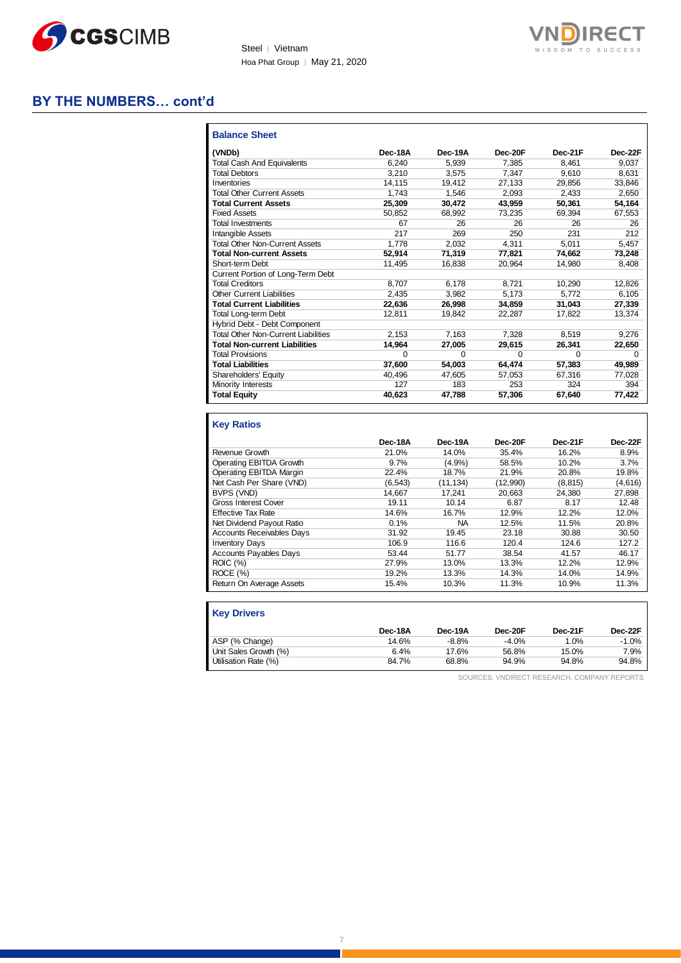



### **BY THE NUMBERS… cont'd**

| <b>Balance Sheet</b>                       |          |         |          |         |         |
|--------------------------------------------|----------|---------|----------|---------|---------|
| (VNDb)                                     | Dec-18A  | Dec-19A | Dec-20F  | Dec-21F | Dec-22F |
| <b>Total Cash And Equivalents</b>          | 6.240    | 5.939   | 7.385    | 8.461   | 9.037   |
| <b>Total Debtors</b>                       | 3.210    | 3.575   | 7.347    | 9.610   | 8.631   |
| Inventories                                | 14.115   | 19.412  | 27.133   | 29,856  | 33,846  |
| <b>Total Other Current Assets</b>          | 1.743    | 1.546   | 2.093    | 2.433   | 2.650   |
| <b>Total Current Assets</b>                | 25,309   | 30.472  | 43.959   | 50,361  | 54,164  |
| <b>Fixed Assets</b>                        | 50.852   | 68.992  | 73,235   | 69.394  | 67,553  |
| <b>Total Investments</b>                   | 67       | 26      | 26       | 26      | 26      |
| <b>Intangible Assets</b>                   | 217      | 269     | 250      | 231     | 212     |
| <b>Total Other Non-Current Assets</b>      | 1.778    | 2.032   | 4.311    | 5,011   | 5.457   |
| <b>Total Non-current Assets</b>            | 52.914   | 71.319  | 77.821   | 74.662  | 73,248  |
| Short-term Debt                            | 11.495   | 16.838  | 20.964   | 14.980  | 8.408   |
| Current Portion of Long-Term Debt          |          |         |          |         |         |
| <b>Total Creditors</b>                     | 8,707    | 6.178   | 8.721    | 10.290  | 12.826  |
| <b>Other Current Liabilities</b>           | 2.435    | 3.982   | 5.173    | 5.772   | 6,105   |
| <b>Total Current Liabilities</b>           | 22.636   | 26,998  | 34.859   | 31,043  | 27,339  |
| <b>Total Long-term Debt</b>                | 12.811   | 19.842  | 22.287   | 17.822  | 13.374  |
| Hybrid Debt - Debt Component               |          |         |          |         |         |
| <b>Total Other Non-Current Liabilities</b> | 2.153    | 7.163   | 7.328    | 8.519   | 9.276   |
| <b>Total Non-current Liabilities</b>       | 14.964   | 27.005  | 29.615   | 26.341  | 22,650  |
| <b>Total Provisions</b>                    | $\Omega$ | U       | $\Omega$ | 0       | U       |
| <b>Total Liabilities</b>                   | 37,600   | 54.003  | 64.474   | 57,383  | 49,989  |
| Shareholders' Equity                       | 40.496   | 47.605  | 57.053   | 67.316  | 77,028  |
| Minority Interests                         | 127      | 183     | 253      | 324     | 394     |
| <b>Total Equity</b>                        | 40,623   | 47.788  | 57,306   | 67,640  | 77,422  |

| <b>Key Ratios</b>                |         |           |          |          |         |
|----------------------------------|---------|-----------|----------|----------|---------|
|                                  | Dec-18A | Dec-19A   | Dec-20F  | Dec-21F  | Dec-22F |
| Revenue Growth                   | 21.0%   | 14.0%     | 35.4%    | 16.2%    | 8.9%    |
| Operating EBITDA Growth          | $9.7\%$ | $(4.9\%)$ | 58.5%    | 10.2%    | 3.7%    |
| Operating EBITDA Margin          | 22.4%   | 18.7%     | 21.9%    | 20.8%    | 19.8%   |
| Net Cash Per Share (VND)         | (6.543) | (11, 134) | (12,990) | (8, 815) | (4,616) |
| BVPS (VND)                       | 14.667  | 17.241    | 20.663   | 24.380   | 27.898  |
| Gross Interest Cover             | 19.11   | 10.14     | 6.87     | 8.17     | 12.48   |
| <b>Effective Tax Rate</b>        | 14.6%   | 16.7%     | 12.9%    | 12.2%    | 12.0%   |
| Net Dividend Payout Ratio        | 0.1%    | <b>NA</b> | 12.5%    | 11.5%    | 20.8%   |
| <b>Accounts Receivables Days</b> | 31.92   | 19.45     | 23.18    | 30.88    | 30.50   |
| <b>Inventory Days</b>            | 106.9   | 116.6     | 120.4    | 124.6    | 127.2   |
| <b>Accounts Payables Days</b>    | 53.44   | 51.77     | 38.54    | 41.57    | 46.17   |
| <b>ROIC</b> (%)                  | 27.9%   | 13.0%     | 13.3%    | 12.2%    | 12.9%   |
| ROCE(%)                          | 19.2%   | 13.3%     | 14.3%    | 14.0%    | 14.9%   |
| Return On Average Assets         | 15.4%   | 10.3%     | 11.3%    | 10.9%    | 11.3%   |

| <b>Key Drivers</b>    |         |         |         |         |         |
|-----------------------|---------|---------|---------|---------|---------|
|                       | Dec-18A | Dec-19A | Dec-20F | Dec-21F | Dec-22F |
| ASP (% Change)        | 14.6%   | $-8.8%$ | $-4.0%$ | 1.0%    | $-1.0%$ |
| Unit Sales Growth (%) | 6.4%    | 17.6%   | 56.8%   | 15.0%   | 7.9%    |
| Utilisation Rate (%)  | 84.7%   | 68.8%   | 94.9%   | 94.8%   | 94.8%   |

SOURCES: VNDIRECT RESEARCH, COMPANY REPORTS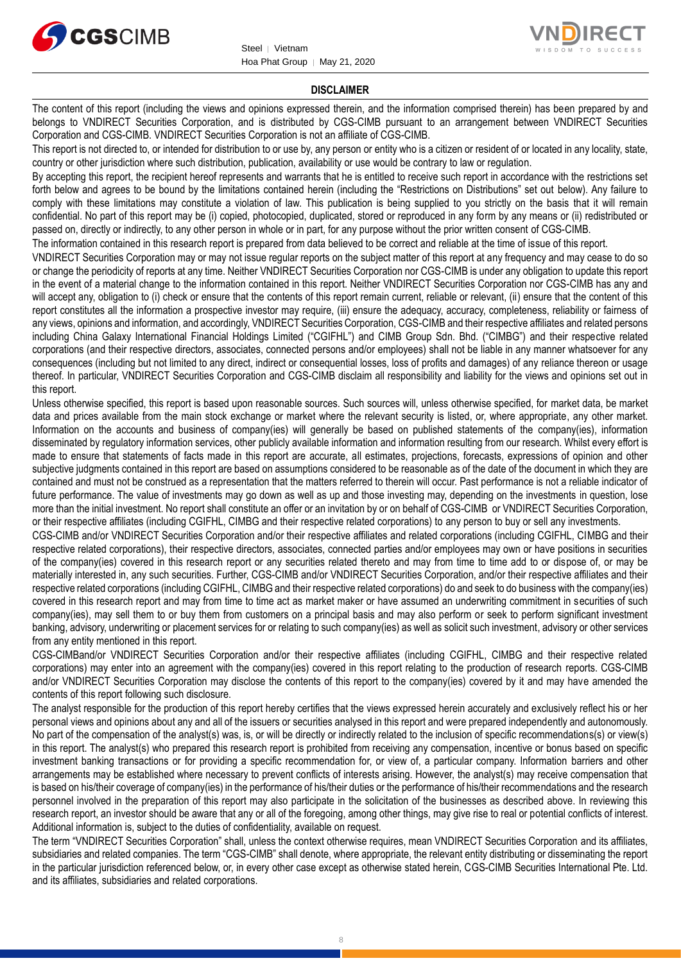



#### **DISCLAIMER**

The content of this report (including the views and opinions expressed therein, and the information comprised therein) has been prepared by and belongs to VNDIRECT Securities Corporation, and is distributed by CGS-CIMB pursuant to an arrangement between VNDIRECT Securities Corporation and CGS-CIMB. VNDIRECT Securities Corporation is not an affiliate of CGS-CIMB.

This report is not directed to, or intended for distribution to or use by, any person or entity who is a citizen or resident of or located in any locality, state, country or other jurisdiction where such distribution, publication, availability or use would be contrary to law or regulation.

By accepting this report, the recipient hereof represents and warrants that he is entitled to receive such report in accordance with the restrictions set forth below and agrees to be bound by the limitations contained herein (including the "Restrictions on Distributions" set out below). Any failure to comply with these limitations may constitute a violation of law. This publication is being supplied to you strictly on the basis that it will remain confidential. No part of this report may be (i) copied, photocopied, duplicated, stored or reproduced in any form by any means or (ii) redistributed or passed on, directly or indirectly, to any other person in whole or in part, for any purpose without the prior written consent of CGS-CIMB.

The information contained in this research report is prepared from data believed to be correct and reliable at the time of issue of this report.

VNDIRECT Securities Corporation may or may not issue regular reports on the subject matter of this report at any frequency and may cease to do so or change the periodicity of reports at any time. Neither VNDIRECT Securities Corporation nor CGS-CIMB is under any obligation to update this report in the event of a material change to the information contained in this report. Neither VNDIRECT Securities Corporation nor CGS-CIMB has any and will accept any, obligation to (i) check or ensure that the contents of this report remain current, reliable or relevant, (ii) ensure that the content of this report constitutes all the information a prospective investor may require, (iii) ensure the adequacy, accuracy, completeness, reliability or fairness of any views, opinions and information, and accordingly, VNDIRECT Securities Corporation, CGS-CIMB and their respective affiliates and related persons including China Galaxy International Financial Holdings Limited ("CGIFHL") and CIMB Group Sdn. Bhd. ("CIMBG") and their respective related corporations (and their respective directors, associates, connected persons and/or employees) shall not be liable in any manner whatsoever for any consequences (including but not limited to any direct, indirect or consequential losses, loss of profits and damages) of any reliance thereon or usage thereof. In particular, VNDIRECT Securities Corporation and CGS-CIMB disclaim all responsibility and liability for the views and opinions set out in this report.

Unless otherwise specified, this report is based upon reasonable sources. Such sources will, unless otherwise specified, for market data, be market data and prices available from the main stock exchange or market where the relevant security is listed, or, where appropriate, any other market. Information on the accounts and business of company(ies) will generally be based on published statements of the company(ies), information disseminated by regulatory information services, other publicly available information and information resulting from our research. Whilst every effort is made to ensure that statements of facts made in this report are accurate, all estimates, projections, forecasts, expressions of opinion and other subjective judgments contained in this report are based on assumptions considered to be reasonable as of the date of the document in which they are contained and must not be construed as a representation that the matters referred to therein will occur. Past performance is not a reliable indicator of future performance. The value of investments may go down as well as up and those investing may, depending on the investments in question, lose more than the initial investment. No report shall constitute an offer or an invitation by or on behalf of CGS-CIMB or VNDIRECT Securities Corporation, or their respective affiliates (including CGIFHL, CIMBG and their respective related corporations) to any person to buy or sell any investments.

CGS-CIMB and/or VNDIRECT Securities Corporation and/or their respective affiliates and related corporations (including CGIFHL, CIMBG and their respective related corporations), their respective directors, associates, connected parties and/or employees may own or have positions in securities of the company(ies) covered in this research report or any securities related thereto and may from time to time add to or dispose of, or may be materially interested in, any such securities. Further, CGS-CIMB and/or VNDIRECT Securities Corporation, and/or their respective affiliates and their respective related corporations (including CGIFHL, CIMBG and their respective related corporations) do and seek to do business with the company(ies) covered in this research report and may from time to time act as market maker or have assumed an underwriting commitment in securities of such company(ies), may sell them to or buy them from customers on a principal basis and may also perform or seek to perform significant investment banking, advisory, underwriting or placement services for or relating to such company(ies) as well as solicit such investment, advisory or other services from any entity mentioned in this report.

CGS-CIMBand/or VNDIRECT Securities Corporation and/or their respective affiliates (including CGIFHL, CIMBG and their respective related corporations) may enter into an agreement with the company(ies) covered in this report relating to the production of research reports. CGS-CIMB and/or VNDIRECT Securities Corporation may disclose the contents of this report to the company(ies) covered by it and may have amended the contents of this report following such disclosure.

The analyst responsible for the production of this report hereby certifies that the views expressed herein accurately and exclusively reflect his or her personal views and opinions about any and all of the issuers or securities analysed in this report and were prepared independently and autonomously. No part of the compensation of the analyst(s) was, is, or will be directly or indirectly related to the inclusion of specific recommendations(s) or view(s) in this report. The analyst(s) who prepared this research report is prohibited from receiving any compensation, incentive or bonus based on specific investment banking transactions or for providing a specific recommendation for, or view of, a particular company. Information barriers and other arrangements may be established where necessary to prevent conflicts of interests arising. However, the analyst(s) may receive compensation that is based on his/their coverage of company(ies) in the performance of his/their duties or the performance of his/their recommendations and the research personnel involved in the preparation of this report may also participate in the solicitation of the businesses as described above. In reviewing this research report, an investor should be aware that any or all of the foregoing, among other things, may give rise to real or potential conflicts of interest. Additional information is, subject to the duties of confidentiality, available on request.

The term "VNDIRECT Securities Corporation" shall, unless the context otherwise requires, mean VNDIRECT Securities Corporation and its affiliates, subsidiaries and related companies. The term "CGS-CIMB" shall denote, where appropriate, the relevant entity distributing or disseminating the report in the particular jurisdiction referenced below, or, in every other case except as otherwise stated herein, CGS-CIMB Securities International Pte. Ltd. and its affiliates, subsidiaries and related corporations.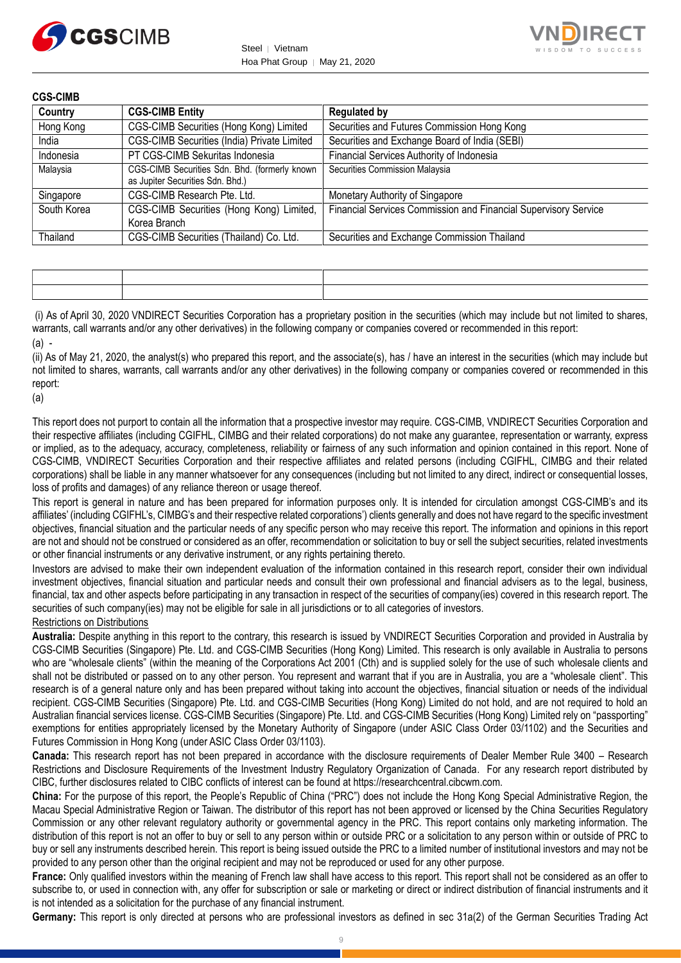



**CGS-CIMB**

| Country     | <b>CGS-CIMB Entity</b>                                                            | <b>Regulated by</b>                                             |
|-------------|-----------------------------------------------------------------------------------|-----------------------------------------------------------------|
| Hong Kong   | CGS-CIMB Securities (Hong Kong) Limited                                           | Securities and Futures Commission Hong Kong                     |
| India       | CGS-CIMB Securities (India) Private Limited                                       | Securities and Exchange Board of India (SEBI)                   |
| Indonesia   | PT CGS-CIMB Sekuritas Indonesia                                                   | Financial Services Authority of Indonesia                       |
| Malaysia    | CGS-CIMB Securities Sdn. Bhd. (formerly known<br>as Jupiter Securities Sdn. Bhd.) | Securities Commission Malaysia                                  |
| Singapore   | CGS-CIMB Research Pte. Ltd.                                                       | Monetary Authority of Singapore                                 |
| South Korea | CGS-CIMB Securities (Hong Kong) Limited,<br>Korea Branch                          | Financial Services Commission and Financial Supervisory Service |
| Thailand    | CGS-CIMB Securities (Thailand) Co. Ltd.                                           | Securities and Exchange Commission Thailand                     |

|  | the contract of the contract of the contract of the contract of the contract of the contract of the contract of |
|--|-----------------------------------------------------------------------------------------------------------------|
|  |                                                                                                                 |

(i) As of April 30, 2020 VNDIRECT Securities Corporation has a proprietary position in the securities (which may include but not limited to shares, warrants, call warrants and/or any other derivatives) in the following company or companies covered or recommended in this report:  $(a)$  -

(ii) As of May 21, 2020, the analyst(s) who prepared this report, and the associate(s), has / have an interest in the securities (which may include but not limited to shares, warrants, call warrants and/or any other derivatives) in the following company or companies covered or recommended in this report:

(a)

This report does not purport to contain all the information that a prospective investor may require. CGS-CIMB, VNDIRECT Securities Corporation and their respective affiliates (including CGIFHL, CIMBG and their related corporations) do not make any guarantee, representation or warranty, express or implied, as to the adequacy, accuracy, completeness, reliability or fairness of any such information and opinion contained in this report. None of CGS-CIMB, VNDIRECT Securities Corporation and their respective affiliates and related persons (including CGIFHL, CIMBG and their related corporations) shall be liable in any manner whatsoever for any consequences (including but not limited to any direct, indirect or consequential losses, loss of profits and damages) of any reliance thereon or usage thereof.

This report is general in nature and has been prepared for information purposes only. It is intended for circulation amongst CGS-CIMB's and its affiliates' (including CGIFHL's, CIMBG's and their respective related corporations') clients generally and does not have regard to the specific investment objectives, financial situation and the particular needs of any specific person who may receive this report. The information and opinions in this report are not and should not be construed or considered as an offer, recommendation or solicitation to buy or sell the subject securities, related investments or other financial instruments or any derivative instrument, or any rights pertaining thereto.

Investors are advised to make their own independent evaluation of the information contained in this research report, consider their own individual investment objectives, financial situation and particular needs and consult their own professional and financial advisers as to the legal, business, financial, tax and other aspects before participating in any transaction in respect of the securities of company(ies) covered in this research report. The securities of such company(ies) may not be eligible for sale in all jurisdictions or to all categories of investors.

Restrictions on Distributions

**Australia:** Despite anything in this report to the contrary, this research is issued by VNDIRECT Securities Corporation and provided in Australia by CGS-CIMB Securities (Singapore) Pte. Ltd. and CGS-CIMB Securities (Hong Kong) Limited. This research is only available in Australia to persons who are "wholesale clients" (within the meaning of the Corporations Act 2001 (Cth) and is supplied solely for the use of such wholesale clients and shall not be distributed or passed on to any other person. You represent and warrant that if you are in Australia, you are a "wholesale client". This research is of a general nature only and has been prepared without taking into account the objectives, financial situation or needs of the individual recipient. CGS-CIMB Securities (Singapore) Pte. Ltd. and CGS-CIMB Securities (Hong Kong) Limited do not hold, and are not required to hold an Australian financial services license. CGS-CIMB Securities (Singapore) Pte. Ltd. and CGS-CIMB Securities (Hong Kong) Limited rely on "passporting" exemptions for entities appropriately licensed by the Monetary Authority of Singapore (under ASIC Class Order 03/1102) and the Securities and Futures Commission in Hong Kong (under ASIC Class Order 03/1103).

**Canada:** This research report has not been prepared in accordance with the disclosure requirements of Dealer Member Rule 3400 – Research Restrictions and Disclosure Requirements of the Investment Industry Regulatory Organization of Canada. For any research report distributed by CIBC, further disclosures related to CIBC conflicts of interest can be found at https://researchcentral.cibcwm.com.

**China:** For the purpose of this report, the People's Republic of China ("PRC") does not include the Hong Kong Special Administrative Region, the Macau Special Administrative Region or Taiwan. The distributor of this report has not been approved or licensed by the China Securities Regulatory Commission or any other relevant regulatory authority or governmental agency in the PRC. This report contains only marketing information. The distribution of this report is not an offer to buy or sell to any person within or outside PRC or a solicitation to any person within or outside of PRC to buy or sell any instruments described herein. This report is being issued outside the PRC to a limited number of institutional investors and may not be provided to any person other than the original recipient and may not be reproduced or used for any other purpose.

**France:** Only qualified investors within the meaning of French law shall have access to this report. This report shall not be considered as an offer to subscribe to, or used in connection with, any offer for subscription or sale or marketing or direct or indirect distribution of financial instruments and it is not intended as a solicitation for the purchase of any financial instrument.

**Germany:** This report is only directed at persons who are professional investors as defined in sec 31a(2) of the German Securities Trading Act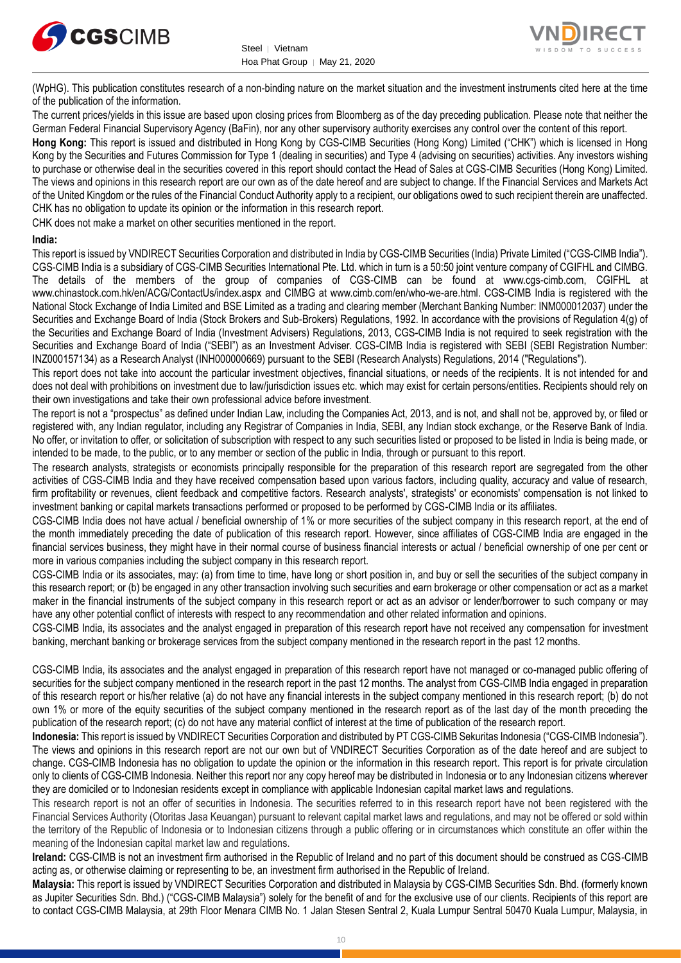



(WpHG). This publication constitutes research of a non-binding nature on the market situation and the investment instruments cited here at the time of the publication of the information.

The current prices/yields in this issue are based upon closing prices from Bloomberg as of the day preceding publication. Please note that neither the German Federal Financial Supervisory Agency (BaFin), nor any other supervisory authority exercises any control over the content of this report.

**Hong Kong:** This report is issued and distributed in Hong Kong by CGS-CIMB Securities (Hong Kong) Limited ("CHK") which is licensed in Hong Kong by the Securities and Futures Commission for Type 1 (dealing in securities) and Type 4 (advising on securities) activities. Any investors wishing to purchase or otherwise deal in the securities covered in this report should contact the Head of Sales at CGS-CIMB Securities (Hong Kong) Limited. The views and opinions in this research report are our own as of the date hereof and are subject to change. If the Financial Services and Markets Act of the United Kingdom or the rules of the Financial Conduct Authority apply to a recipient, our obligations owed to such recipient therein are unaffected. CHK has no obligation to update its opinion or the information in this research report.

CHK does not make a market on other securities mentioned in the report.

#### **India:**

This report is issued by VNDIRECT Securities Corporation and distributed in India by CGS-CIMB Securities (India) Private Limited ("CGS-CIMB India"). CGS-CIMB India is a subsidiary of CGS-CIMB Securities International Pte. Ltd. which in turn is a 50:50 joint venture company of CGIFHL and CIMBG. The details of the members of the group of companies of CGS-CIMB can be found at www.cgs-cimb.com, CGIFHL at www.chinastock.com.hk/en/ACG/ContactUs/index.aspx and CIMBG at www.cimb.com/en/who-we-are.html. CGS-CIMB India is registered with the National Stock Exchange of India Limited and BSE Limited as a trading and clearing member (Merchant Banking Number: INM000012037) under the Securities and Exchange Board of India (Stock Brokers and Sub-Brokers) Regulations, 1992. In accordance with the provisions of Regulation 4(g) of the Securities and Exchange Board of India (Investment Advisers) Regulations, 2013, CGS-CIMB India is not required to seek registration with the Securities and Exchange Board of India ("SEBI") as an Investment Adviser. CGS-CIMB India is registered with SEBI (SEBI Registration Number: INZ000157134) as a Research Analyst (INH000000669) pursuant to the SEBI (Research Analysts) Regulations, 2014 ("Regulations").

This report does not take into account the particular investment objectives, financial situations, or needs of the recipients. It is not intended for and does not deal with prohibitions on investment due to law/jurisdiction issues etc. which may exist for certain persons/entities. Recipients should rely on their own investigations and take their own professional advice before investment.

The report is not a "prospectus" as defined under Indian Law, including the Companies Act, 2013, and is not, and shall not be, approved by, or filed or registered with, any Indian regulator, including any Registrar of Companies in India, SEBI, any Indian stock exchange, or the Reserve Bank of India. No offer, or invitation to offer, or solicitation of subscription with respect to any such securities listed or proposed to be listed in India is being made, or intended to be made, to the public, or to any member or section of the public in India, through or pursuant to this report.

The research analysts, strategists or economists principally responsible for the preparation of this research report are segregated from the other activities of CGS-CIMB India and they have received compensation based upon various factors, including quality, accuracy and value of research, firm profitability or revenues, client feedback and competitive factors. Research analysts', strategists' or economists' compensation is not linked to investment banking or capital markets transactions performed or proposed to be performed by CGS-CIMB India or its affiliates.

CGS-CIMB India does not have actual / beneficial ownership of 1% or more securities of the subject company in this research report, at the end of the month immediately preceding the date of publication of this research report. However, since affiliates of CGS-CIMB India are engaged in the financial services business, they might have in their normal course of business financial interests or actual / beneficial ownership of one per cent or more in various companies including the subject company in this research report.

CGS-CIMB India or its associates, may: (a) from time to time, have long or short position in, and buy or sell the securities of the subject company in this research report; or (b) be engaged in any other transaction involving such securities and earn brokerage or other compensation or act as a market maker in the financial instruments of the subject company in this research report or act as an advisor or lender/borrower to such company or may have any other potential conflict of interests with respect to any recommendation and other related information and opinions.

CGS-CIMB India, its associates and the analyst engaged in preparation of this research report have not received any compensation for investment banking, merchant banking or brokerage services from the subject company mentioned in the research report in the past 12 months.

CGS-CIMB India, its associates and the analyst engaged in preparation of this research report have not managed or co-managed public offering of securities for the subject company mentioned in the research report in the past 12 months. The analyst from CGS-CIMB India engaged in preparation of this research report or his/her relative (a) do not have any financial interests in the subject company mentioned in this research report; (b) do not own 1% or more of the equity securities of the subject company mentioned in the research report as of the last day of the month preceding the publication of the research report; (c) do not have any material conflict of interest at the time of publication of the research report.

**Indonesia:** This report is issued by VNDIRECT Securities Corporation and distributed by PT CGS-CIMB Sekuritas Indonesia ("CGS-CIMB Indonesia"). The views and opinions in this research report are not our own but of VNDIRECT Securities Corporation as of the date hereof and are subject to change. CGS-CIMB Indonesia has no obligation to update the opinion or the information in this research report. This report is for private circulation only to clients of CGS-CIMB Indonesia. Neither this report nor any copy hereof may be distributed in Indonesia or to any Indonesian citizens wherever they are domiciled or to Indonesian residents except in compliance with applicable Indonesian capital market laws and regulations.

This research report is not an offer of securities in Indonesia. The securities referred to in this research report have not been registered with the Financial Services Authority (Otoritas Jasa Keuangan) pursuant to relevant capital market laws and regulations, and may not be offered or sold within the territory of the Republic of Indonesia or to Indonesian citizens through a public offering or in circumstances which constitute an offer within the meaning of the Indonesian capital market law and regulations.

**Ireland:** CGS-CIMB is not an investment firm authorised in the Republic of Ireland and no part of this document should be construed as CGS-CIMB acting as, or otherwise claiming or representing to be, an investment firm authorised in the Republic of Ireland.

**Malaysia:** This report is issued by VNDIRECT Securities Corporation and distributed in Malaysia by CGS-CIMB Securities Sdn. Bhd. (formerly known as Jupiter Securities Sdn. Bhd.) ("CGS-CIMB Malaysia") solely for the benefit of and for the exclusive use of our clients. Recipients of this report are to contact CGS-CIMB Malaysia, at 29th Floor Menara CIMB No. 1 Jalan Stesen Sentral 2, Kuala Lumpur Sentral 50470 Kuala Lumpur, Malaysia, in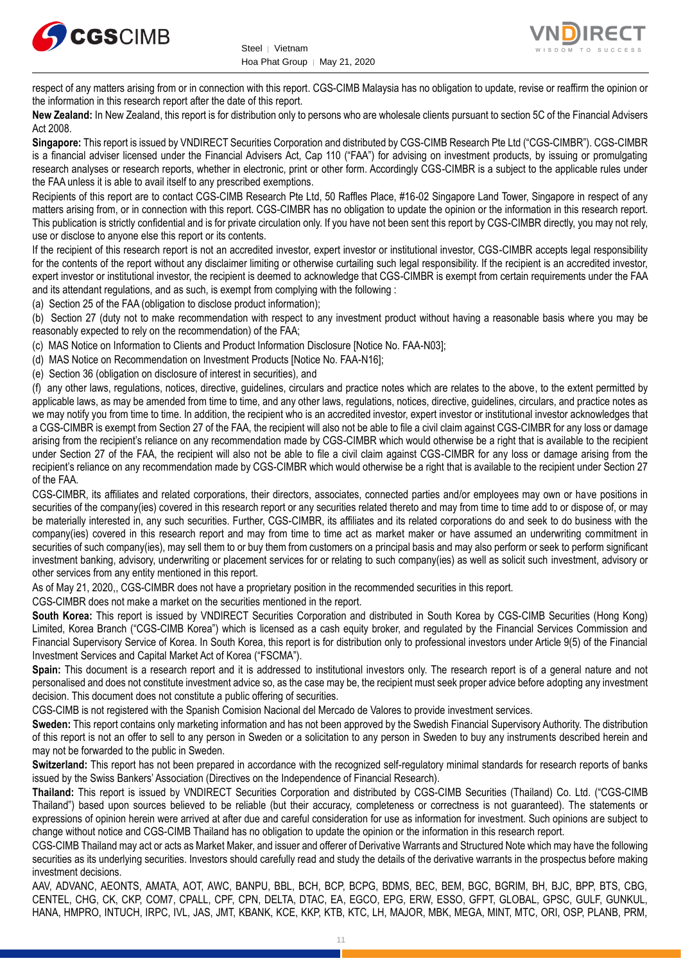



respect of any matters arising from or in connection with this report. CGS-CIMB Malaysia has no obligation to update, revise or reaffirm the opinion or the information in this research report after the date of this report.

**New Zealand:** In New Zealand, this report is for distribution only to persons who are wholesale clients pursuant to section 5C of the Financial Advisers Act 2008.

**Singapore:** This report is issued by VNDIRECT Securities Corporation and distributed by CGS-CIMB Research Pte Ltd ("CGS-CIMBR"). CGS-CIMBR is a financial adviser licensed under the Financial Advisers Act, Cap 110 ("FAA") for advising on investment products, by issuing or promulgating research analyses or research reports, whether in electronic, print or other form. Accordingly CGS-CIMBR is a subject to the applicable rules under the FAA unless it is able to avail itself to any prescribed exemptions.

Recipients of this report are to contact CGS-CIMB Research Pte Ltd, 50 Raffles Place, #16-02 Singapore Land Tower, Singapore in respect of any matters arising from, or in connection with this report. CGS-CIMBR has no obligation to update the opinion or the information in this research report. This publication is strictly confidential and is for private circulation only. If you have not been sent this report by CGS-CIMBR directly, you may not rely, use or disclose to anyone else this report or its contents.

If the recipient of this research report is not an accredited investor, expert investor or institutional investor, CGS-CIMBR accepts legal responsibility for the contents of the report without any disclaimer limiting or otherwise curtailing such legal responsibility. If the recipient is an accredited investor, expert investor or institutional investor, the recipient is deemed to acknowledge that CGS-CIMBR is exempt from certain requirements under the FAA and its attendant regulations, and as such, is exempt from complying with the following :

(a) Section 25 of the FAA (obligation to disclose product information);

(b) Section 27 (duty not to make recommendation with respect to any investment product without having a reasonable basis where you may be reasonably expected to rely on the recommendation) of the FAA;

(c) MAS Notice on Information to Clients and Product Information Disclosure [Notice No. FAA-N03];

(d) MAS Notice on Recommendation on Investment Products [Notice No. FAA-N16];

(e) Section 36 (obligation on disclosure of interest in securities), and

(f) any other laws, regulations, notices, directive, guidelines, circulars and practice notes which are relates to the above, to the extent permitted by applicable laws, as may be amended from time to time, and any other laws, regulations, notices, directive, guidelines, circulars, and practice notes as we may notify you from time to time. In addition, the recipient who is an accredited investor, expert investor or institutional investor acknowledges that a CGS-CIMBR is exempt from Section 27 of the FAA, the recipient will also not be able to file a civil claim against CGS-CIMBR for any loss or damage arising from the recipient's reliance on any recommendation made by CGS-CIMBR which would otherwise be a right that is available to the recipient under Section 27 of the FAA, the recipient will also not be able to file a civil claim against CGS-CIMBR for any loss or damage arising from the recipient's reliance on any recommendation made by CGS-CIMBR which would otherwise be a right that is available to the recipient under Section 27 of the FAA.

CGS-CIMBR, its affiliates and related corporations, their directors, associates, connected parties and/or employees may own or have positions in securities of the company(ies) covered in this research report or any securities related thereto and may from time to time add to or dispose of, or may be materially interested in, any such securities. Further, CGS-CIMBR, its affiliates and its related corporations do and seek to do business with the company(ies) covered in this research report and may from time to time act as market maker or have assumed an underwriting commitment in securities of such company(ies), may sell them to or buy them from customers on a principal basis and may also perform or seek to perform significant investment banking, advisory, underwriting or placement services for or relating to such company(ies) as well as solicit such investment, advisory or other services from any entity mentioned in this report.

As of May 21, 2020,, CGS-CIMBR does not have a proprietary position in the recommended securities in this report.

CGS-CIMBR does not make a market on the securities mentioned in the report.

**South Korea:** This report is issued by VNDIRECT Securities Corporation and distributed in South Korea by CGS-CIMB Securities (Hong Kong) Limited, Korea Branch ("CGS-CIMB Korea") which is licensed as a cash equity broker, and regulated by the Financial Services Commission and Financial Supervisory Service of Korea. In South Korea, this report is for distribution only to professional investors under Article 9(5) of the Financial Investment Services and Capital Market Act of Korea ("FSCMA").

**Spain:** This document is a research report and it is addressed to institutional investors only. The research report is of a general nature and not personalised and does not constitute investment advice so, as the case may be, the recipient must seek proper advice before adopting any investment decision. This document does not constitute a public offering of securities.

CGS-CIMB is not registered with the Spanish Comision Nacional del Mercado de Valores to provide investment services.

**Sweden:** This report contains only marketing information and has not been approved by the Swedish Financial Supervisory Authority. The distribution of this report is not an offer to sell to any person in Sweden or a solicitation to any person in Sweden to buy any instruments described herein and may not be forwarded to the public in Sweden.

**Switzerland:** This report has not been prepared in accordance with the recognized self-regulatory minimal standards for research reports of banks issued by the Swiss Bankers' Association (Directives on the Independence of Financial Research).

**Thailand:** This report is issued by VNDIRECT Securities Corporation and distributed by CGS-CIMB Securities (Thailand) Co. Ltd. ("CGS-CIMB Thailand") based upon sources believed to be reliable (but their accuracy, completeness or correctness is not guaranteed). The statements or expressions of opinion herein were arrived at after due and careful consideration for use as information for investment. Such opinions are subject to change without notice and CGS-CIMB Thailand has no obligation to update the opinion or the information in this research report.

CGS-CIMB Thailand may act or acts as Market Maker, and issuer and offerer of Derivative Warrants and Structured Note which may have the following securities as its underlying securities. Investors should carefully read and study the details of the derivative warrants in the prospectus before making investment decisions.

AAV, ADVANC, AEONTS, AMATA, AOT, AWC, BANPU, BBL, BCH, BCP, BCPG, BDMS, BEC, BEM, BGC, BGRIM, BH, BJC, BPP, BTS, CBG, CENTEL, CHG, CK, CKP, COM7, CPALL, CPF, CPN, DELTA, DTAC, EA, EGCO, EPG, ERW, ESSO, GFPT, GLOBAL, GPSC, GULF, GUNKUL, HANA, HMPRO, INTUCH, IRPC, IVL, JAS, JMT, KBANK, KCE, KKP, KTB, KTC, LH, MAJOR, MBK, MEGA, MINT, MTC, ORI, OSP, PLANB, PRM,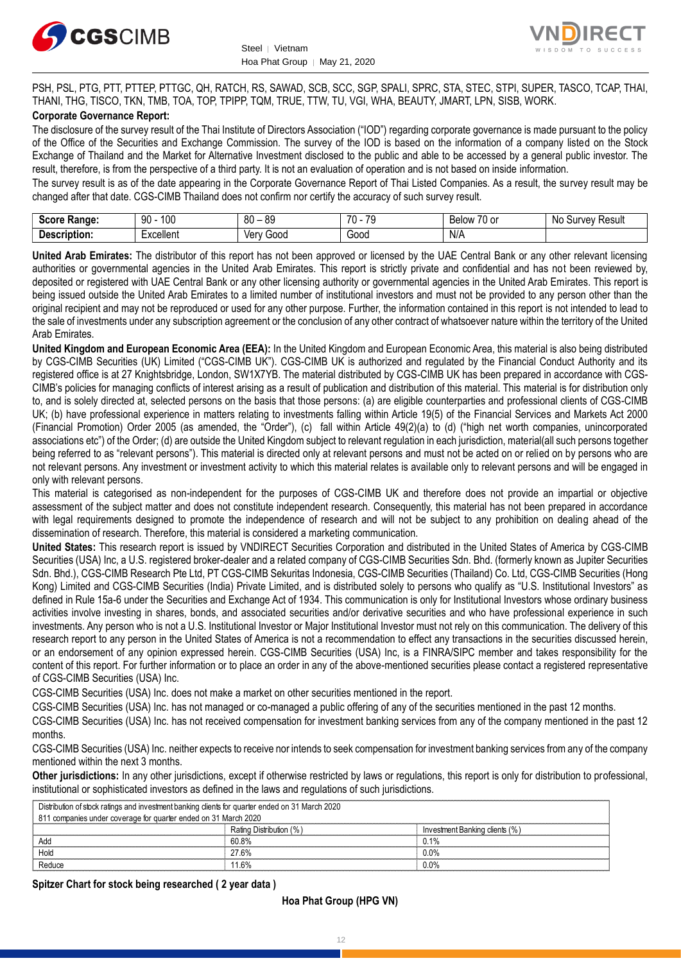



PSH, PSL, PTG, PTT, PTTEP, PTTGC, QH, RATCH, RS, SAWAD, SCB, SCC, SGP, SPALI, SPRC, STA, STEC, STPI, SUPER, TASCO, TCAP, THAI, THANI, THG, TISCO, TKN, TMB, TOA, TOP, TPIPP, TQM, TRUE, TTW, TU, VGI, WHA, BEAUTY, JMART, LPN, SISB, WORK.

#### **Corporate Governance Report:**

The disclosure of the survey result of the Thai Institute of Directors Association ("IOD") regarding corporate governance is made pursuant to the policy of the Office of the Securities and Exchange Commission. The survey of the IOD is based on the information of a company listed on the Stock Exchange of Thailand and the Market for Alternative Investment disclosed to the public and able to be accessed by a general public investor. The result, therefore, is from the perspective of a third party. It is not an evaluation of operation and is not based on inside information.

The survey result is as of the date appearing in the Corporate Governance Report of Thai Listed Companies. As a result, the survey result may be changed after that date. CGS-CIMB Thailand does not confirm nor certify the accuracy of such survey result.

| Score<br>Range:   | 100<br>۵N<br>IJΜ | 80<br>ЯC<br>-<br>ັບເ | 70<br>7 <sup>c</sup><br>$\cdot$ | $\overline{\phantom{a}}$<br>/U or<br><b>Below</b> | Result<br><b>STIMA</b><br>NG.<br>ou<br>,,,<br>'YU |
|-------------------|------------------|----------------------|---------------------------------|---------------------------------------------------|---------------------------------------------------|
| -<br>Description: | Excellent        | 000خ<br>Verv         | Good                            | N/A                                               |                                                   |

**United Arab Emirates:** The distributor of this report has not been approved or licensed by the UAE Central Bank or any other relevant licensing authorities or governmental agencies in the United Arab Emirates. This report is strictly private and confidential and has not been reviewed by, deposited or registered with UAE Central Bank or any other licensing authority or governmental agencies in the United Arab Emirates. This report is being issued outside the United Arab Emirates to a limited number of institutional investors and must not be provided to any person other than the original recipient and may not be reproduced or used for any other purpose. Further, the information contained in this report is not intended to lead to the sale of investments under any subscription agreement or the conclusion of any other contract of whatsoever nature within the territory of the United Arab Emirates.

**United Kingdom and European Economic Area (EEA):** In the United Kingdom and European Economic Area, this material is also being distributed by CGS-CIMB Securities (UK) Limited ("CGS-CIMB UK"). CGS-CIMB UK is authorized and regulated by the Financial Conduct Authority and its registered office is at 27 Knightsbridge, London, SW1X7YB. The material distributed by CGS-CIMB UK has been prepared in accordance with CGS-CIMB's policies for managing conflicts of interest arising as a result of publication and distribution of this material. This material is for distribution only to, and is solely directed at, selected persons on the basis that those persons: (a) are eligible counterparties and professional clients of CGS-CIMB UK; (b) have professional experience in matters relating to investments falling within Article 19(5) of the Financial Services and Markets Act 2000 (Financial Promotion) Order 2005 (as amended, the "Order"), (c) fall within Article 49(2)(a) to (d) ("high net worth companies, unincorporated associations etc") of the Order; (d) are outside the United Kingdom subject to relevant regulation in each jurisdiction, material(all such persons together being referred to as "relevant persons"). This material is directed only at relevant persons and must not be acted on or relied on by persons who are not relevant persons. Any investment or investment activity to which this material relates is available only to relevant persons and will be engaged in only with relevant persons.

This material is categorised as non-independent for the purposes of CGS-CIMB UK and therefore does not provide an impartial or objective assessment of the subject matter and does not constitute independent research. Consequently, this material has not been prepared in accordance with legal requirements designed to promote the independence of research and will not be subject to any prohibition on dealing ahead of the dissemination of research. Therefore, this material is considered a marketing communication.

**United States:** This research report is issued by VNDIRECT Securities Corporation and distributed in the United States of America by CGS-CIMB Securities (USA) Inc, a U.S. registered broker-dealer and a related company of CGS-CIMB Securities Sdn. Bhd. (formerly known as Jupiter Securities Sdn. Bhd.), CGS-CIMB Research Pte Ltd, PT CGS-CIMB Sekuritas Indonesia, CGS-CIMB Securities (Thailand) Co. Ltd, CGS-CIMB Securities (Hong Kong) Limited and CGS-CIMB Securities (India) Private Limited, and is distributed solely to persons who qualify as "U.S. Institutional Investors" as defined in Rule 15a-6 under the Securities and Exchange Act of 1934. This communication is only for Institutional Investors whose ordinary business activities involve investing in shares, bonds, and associated securities and/or derivative securities and who have professional experience in such investments. Any person who is not a U.S. Institutional Investor or Major Institutional Investor must not rely on this communication. The delivery of this research report to any person in the United States of America is not a recommendation to effect any transactions in the securities discussed herein, or an endorsement of any opinion expressed herein. CGS-CIMB Securities (USA) Inc, is a FINRA/SIPC member and takes responsibility for the content of this report. For further information or to place an order in any of the above-mentioned securities please contact a registered representative of CGS-CIMB Securities (USA) Inc.

CGS-CIMB Securities (USA) Inc. does not make a market on other securities mentioned in the report.

CGS-CIMB Securities (USA) Inc. has not managed or co-managed a public offering of any of the securities mentioned in the past 12 months.

CGS-CIMB Securities (USA) Inc. has not received compensation for investment banking services from any of the company mentioned in the past 12 months.

CGS-CIMB Securities (USA) Inc. neither expects to receive nor intends to seek compensation for investment banking services from any of the company mentioned within the next 3 months.

**Other jurisdictions:** In any other jurisdictions, except if otherwise restricted by laws or regulations, this report is only for distribution to professional, institutional or sophisticated investors as defined in the laws and regulations of such jurisdictions.

| Distribution of stock ratings and investment banking clients for quarter ended on 31 March 2020 |                         |                               |  |  |
|-------------------------------------------------------------------------------------------------|-------------------------|-------------------------------|--|--|
| 811 companies under coverage for quarter ended on 31 March 2020                                 |                         |                               |  |  |
|                                                                                                 | Rating Distribution (%) | Investment Banking clients (% |  |  |
| Adı                                                                                             | 60.8%                   |                               |  |  |
| Hold                                                                                            | 27.6%                   | 0.0%                          |  |  |
| Reduce                                                                                          | .6%                     | $0.0\%$                       |  |  |

#### **Spitzer Chart for stock being researched ( 2 year data )**

#### **Hoa Phat Group (HPG VN)**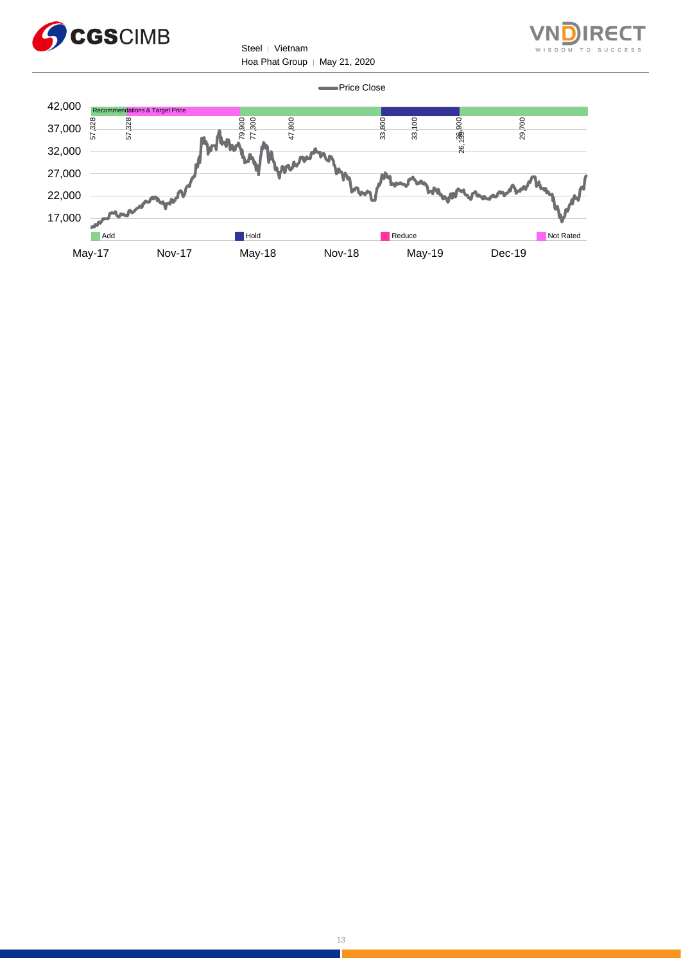



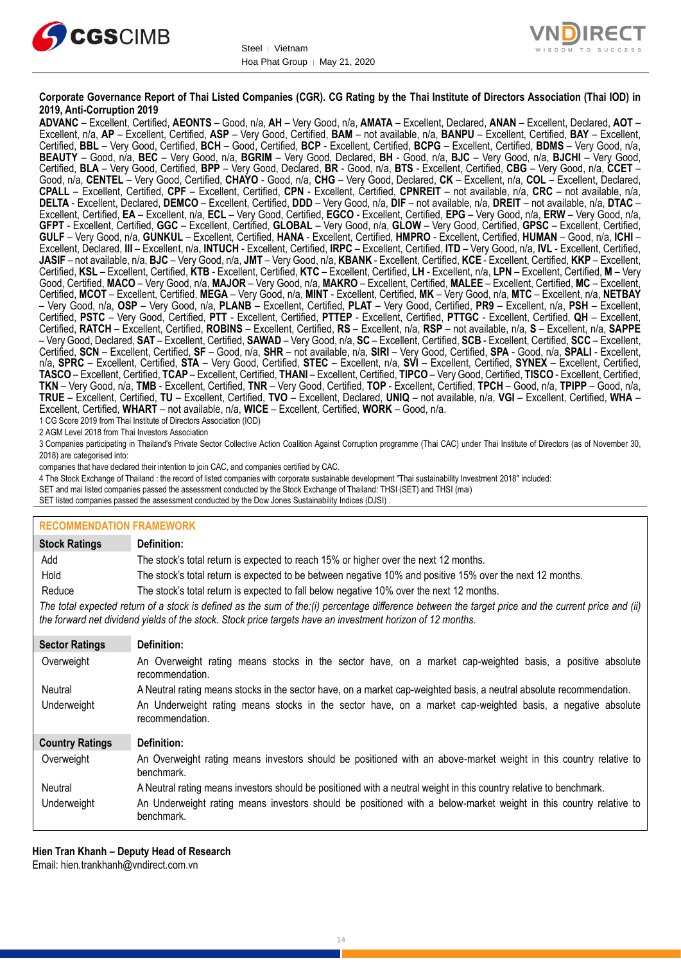



#### **Corporate Governance Report of Thai Listed Companies (CGR). CG Rating by the Thai Institute of Directors Association (Thai IOD) in 2019, Anti-Corruption 2019**

**ADVANC** – Excellent, Certified, **AEONTS** – Good, n/a, **AH** – Very Good, n/a, **AMATA** – Excellent, Declared, **ANAN** – Excellent, Declared, **AOT** – Excellent, n/a, **AP** – Excellent, Certified, **ASP** – Very Good, Certified, **BAM** – not available, n/a, **BANPU** – Excellent, Certified, **BAY** – Excellent, Certified, **BBL** – Very Good, Certified, **BCH** – Good, Certified, **BCP** - Excellent, Certified, **BCPG** – Excellent, Certified, **BDMS** – Very Good, n/a, **BEAUTY** – Good, n/a, **BEC** – Very Good, n/a, **BGRIM** – Very Good, Declared, **BH** - Good, n/a, **BJC** – Very Good, n/a, **BJCHI** – Very Good, Certified, **BLA** – Very Good, Certified, **BPP** – Very Good, Declared, **BR** - Good, n/a, **BTS** - Excellent, Certified, **CBG** – Very Good, n/a, **CCET** – Good, n/a, **CENTEL** – Very Good, Certified, **CHAYO** - Good, n/a, **CHG** – Very Good, Declared, **CK** – Excellent, n/a, **COL** – Excellent, Declared, **CPALL** – Excellent, Certified, **CPF** – Excellent, Certified, **CPN** - Excellent, Certified, **CPNREIT** – not available, n/a, **CRC** – not available, n/a, **DELTA** - Excellent, Declared, **DEMCO** – Excellent, Certified, **DDD** – Very Good, n/a, **DIF** – not available, n/a, **DREIT** – not available, n/a, **DTAC** – Excellent, Certified, **EA** – Excellent, n/a, **ECL** – Very Good, Certified, **EGCO** - Excellent, Certified, **EPG** – Very Good, n/a, **ERW** – Very Good, n/a, **GFPT** - Excellent, Certified, **GGC** – Excellent, Certified, **GLOBAL** – Very Good, n/a, **GLOW** – Very Good, Certified, **GPSC** – Excellent, Certified, **GULF** – Very Good, n/a, **GUNKUL** – Excellent, Certified, **HANA** - Excellent, Certified, **HMPRO** - Excellent, Certified, **HUMAN** – Good, n/a, **ICHI** – Excellent, Declared, **III** – Excellent, n/a, **INTUCH** - Excellent, Certified, **IRPC** – Excellent, Certified, **ITD** – Very Good, n/a, **IVL** - Excellent, Certified, **JASIF** – not available, n/a, **BJC** – Very Good, n/a, **JMT** – Very Good, n/a, **KBANK** - Excellent, Certified, **KCE** - Excellent, Certified, **KKP** – Excellent, Certified, **KSL** – Excellent, Certified, **KTB** - Excellent, Certified, **KTC** – Excellent, Certified, **LH** - Excellent, n/a, **LPN** – Excellent, Certified, **M** – Very Good, Certified, **MACO** – Very Good, n/a, **MAJOR** – Very Good, n/a, **MAKRO** – Excellent, Certified, **MALEE** – Excellent, Certified, **MC** – Excellent, Certified, **MCOT** – Excellent, Certified, **MEGA** – Very Good, n/a, **MINT** - Excellent, Certified, **MK** – Very Good, n/a, **MTC** – Excellent, n/a, **NETBAY** – Very Good, n/a, **OSP** – Very Good, n/a, **PLANB** – Excellent, Certified, **PLAT** – Very Good, Certified, **PR9** – Excellent, n/a, **PSH** – Excellent, Certified, **PSTC** – Very Good, Certified, **PTT** - Excellent, Certified, **PTTEP** - Excellent, Certified, **PTTGC** - Excellent, Certified, **QH** – Excellent, Certified, **RATCH** – Excellent, Certified, **ROBINS** – Excellent, Certified, **RS** – Excellent, n/a, **RSP** – not available, n/a, **S** – Excellent, n/a, **SAPPE** – Very Good, Declared, **SAT** – Excellent, Certified, **SAWAD** – Very Good, n/a, **SC** – Excellent, Certified, **SCB** - Excellent, Certified, **SCC** – Excellent, Certified, **SCN** – Excellent, Certified, **SF** – Good, n/a, **SHR** – not available, n/a, **SIRI** – Very Good, Certified, **SPA** - Good, n/a, **SPALI** - Excellent, n/a, **SPRC** – Excellent, Certified, **STA** – Very Good, Certified, **STEC** – Excellent, n/a, **SVI** – Excellent, Certified, **SYNEX** – Excellent, Certified, **TASCO** – Excellent, Certified, **TCAP** – Excellent, Certified, **THANI** – Excellent, Certified, **TIPCO** – Very Good, Certified, **TISCO** - Excellent, Certified, **TKN** – Very Good, n/a, **TMB** - Excellent, Certified, **TNR** – Very Good, Certified, **TOP** - Excellent, Certified, **TPCH** – Good, n/a, **TPIPP** – Good, n/a, **TRUE** – Excellent, Certified, **TU** – Excellent, Certified, **TVO** – Excellent, Declared, **UNIQ** – not available, n/a, **VGI** – Excellent, Certified, **WHA** – Excellent, Certified, **WHART** – not available, n/a, **WICE** – Excellent, Certified, **WORK** – Good, n/a.

1 CG Score 2019 from Thai Institute of Directors Association (IOD)

2 AGM Level 2018 from Thai Investors Association

3 Companies participating in Thailand's Private Sector Collective Action Coalition Against Corruption programme (Thai CAC) under Thai Institute of Directors (as of November 30, 2018) are categorised into:

companies that have declared their intention to join CAC, and companies certified by CAC.

- 4 [The Stock Exchange of Thailand : the record of listed companies with corporate sustainable development "Thai sustainability Investment 2018" included:](http://www.set.or.th/sustainable_dev/en/sr/sri/tsi_p1.html)
- SET and mai listed companies passed the assessment conducted by the Stock Exchange of Thailand: THSI (SET) and THSI (mai)

SET listed companies passed the assessment conducted by the Dow Jones Sustainability Indices (DJSI) .

| <b>RECOMMENDATION FRAMEWORK</b> |                                                                                                                                                                                                                                                                   |
|---------------------------------|-------------------------------------------------------------------------------------------------------------------------------------------------------------------------------------------------------------------------------------------------------------------|
| <b>Stock Ratings</b>            | Definition:                                                                                                                                                                                                                                                       |
| Add                             | The stock's total return is expected to reach 15% or higher over the next 12 months.                                                                                                                                                                              |
| Hold                            | The stock's total return is expected to be between negative 10% and positive 15% over the next 12 months.                                                                                                                                                         |
| Reduce                          | The stock's total return is expected to fall below negative 10% over the next 12 months.                                                                                                                                                                          |
|                                 | The total expected return of a stock is defined as the sum of the:(i) percentage difference between the target price and the current price and (ii)<br>the forward net dividend yields of the stock. Stock price targets have an investment horizon of 12 months. |
| <b>Sector Ratings</b>           | Definition:                                                                                                                                                                                                                                                       |
| Overweight                      | An Overweight rating means stocks in the sector have, on a market cap-weighted basis, a positive absolute<br>recommendation.                                                                                                                                      |
| Neutral                         | A Neutral rating means stocks in the sector have, on a market cap-weighted basis, a neutral absolute recommendation.                                                                                                                                              |
| Underweight                     | An Underweight rating means stocks in the sector have, on a market cap-weighted basis, a negative absolute<br>recommendation.                                                                                                                                     |
| <b>Country Ratings</b>          | Definition:                                                                                                                                                                                                                                                       |
| Overweight                      | An Overweight rating means investors should be positioned with an above-market weight in this country relative to<br>benchmark.                                                                                                                                   |
| Neutral                         | A Neutral rating means investors should be positioned with a neutral weight in this country relative to benchmark.                                                                                                                                                |
| Underweight                     | An Underweight rating means investors should be positioned with a below-market weight in this country relative to<br>benchmark.                                                                                                                                   |

**Hien Tran Khanh – Deputy Head of Research**

Email: [hien.trankhanh@vndirect.com.vn](mailto:hien.trankhanh@vndirect.com.vn)